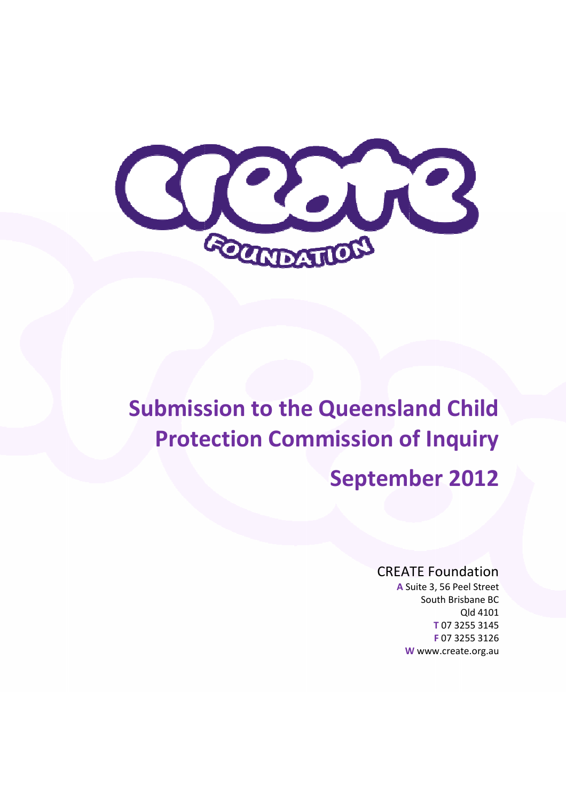

# Submission to the Queensland Child Protection Commission of Inquiry

# September 2012

# CREATE Foundation

A Suite 3, 56 Peel Street W www.create.org.au South Brisbane BC Qld 4101 T 07 3255 3145 F 07 3255 3126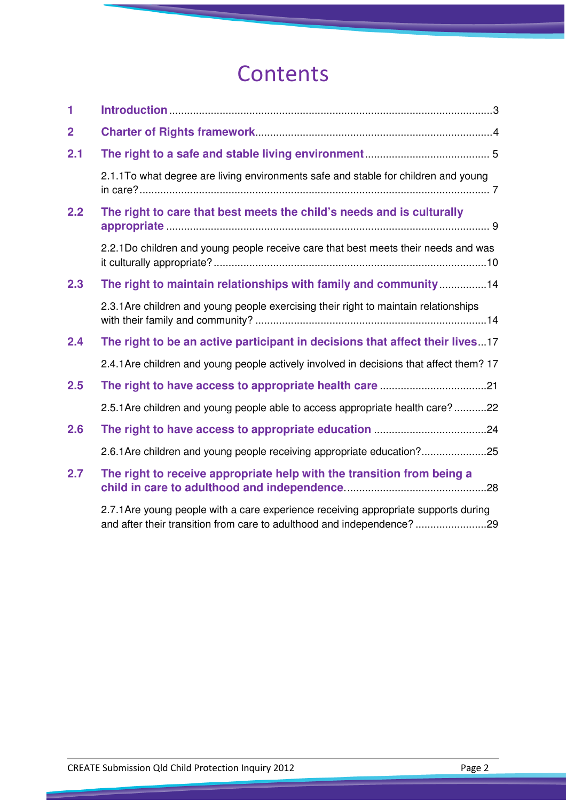# **Contents**

| 1              |                                                                                                                                                               |
|----------------|---------------------------------------------------------------------------------------------------------------------------------------------------------------|
| $\overline{2}$ |                                                                                                                                                               |
| 2.1            |                                                                                                                                                               |
|                | 2.1.1To what degree are living environments safe and stable for children and young                                                                            |
| 2.2            | The right to care that best meets the child's needs and is culturally                                                                                         |
|                | 2.2.1Do children and young people receive care that best meets their needs and was                                                                            |
| 2.3            | The right to maintain relationships with family and community14                                                                                               |
|                | 2.3.1 Are children and young people exercising their right to maintain relationships                                                                          |
| 2.4            | The right to be an active participant in decisions that affect their lives 17                                                                                 |
|                | 2.4.1 Are children and young people actively involved in decisions that affect them? 17                                                                       |
| 2.5            |                                                                                                                                                               |
|                | 2.5.1 Are children and young people able to access appropriate health care?22                                                                                 |
| 2.6            |                                                                                                                                                               |
|                | 2.6.1 Are children and young people receiving appropriate education?25                                                                                        |
| 2.7            | The right to receive appropriate help with the transition from being a                                                                                        |
|                | 2.7.1 Are young people with a care experience receiving appropriate supports during<br>and after their transition from care to adulthood and independence? 29 |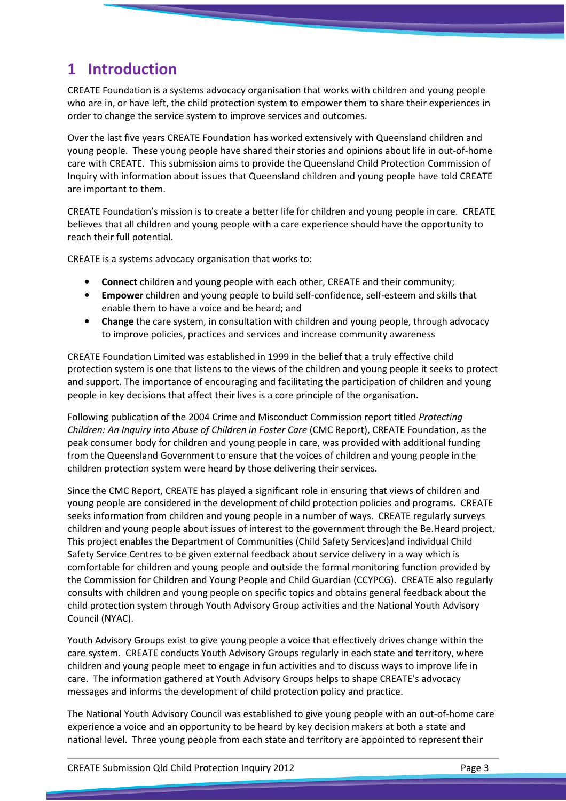# 1 Introduction

CREATE Foundation is a systems advocacy organisation that works with children and young people who are in, or have left, the child protection system to empower them to share their experiences in order to change the service system to improve services and outcomes.

Over the last five years CREATE Foundation has worked extensively with Queensland children and young people. These young people have shared their stories and opinions about life in out-of-home care with CREATE. This submission aims to provide the Queensland Child Protection Commission of Inquiry with information about issues that Queensland children and young people have told CREATE are important to them.

CREATE Foundation's mission is to create a better life for children and young people in care. CREATE believes that all children and young people with a care experience should have the opportunity to reach their full potential.

CREATE is a systems advocacy organisation that works to:

- **Connect** children and young people with each other, CREATE and their community;
- Empower children and young people to build self-confidence, self-esteem and skills that enable them to have a voice and be heard; and
- Change the care system, in consultation with children and young people, through advocacy to improve policies, practices and services and increase community awareness

CREATE Foundation Limited was established in 1999 in the belief that a truly effective child protection system is one that listens to the views of the children and young people it seeks to protect and support. The importance of encouraging and facilitating the participation of children and young people in key decisions that affect their lives is a core principle of the organisation.

Following publication of the 2004 Crime and Misconduct Commission report titled Protecting Children: An Inquiry into Abuse of Children in Foster Care (CMC Report), CREATE Foundation, as the peak consumer body for children and young people in care, was provided with additional funding from the Queensland Government to ensure that the voices of children and young people in the children protection system were heard by those delivering their services.

Since the CMC Report, CREATE has played a significant role in ensuring that views of children and young people are considered in the development of child protection policies and programs. CREATE seeks information from children and young people in a number of ways. CREATE regularly surveys children and young people about issues of interest to the government through the Be.Heard project. This project enables the Department of Communities (Child Safety Services)and individual Child Safety Service Centres to be given external feedback about service delivery in a way which is comfortable for children and young people and outside the formal monitoring function provided by the Commission for Children and Young People and Child Guardian (CCYPCG). CREATE also regularly consults with children and young people on specific topics and obtains general feedback about the child protection system through Youth Advisory Group activities and the National Youth Advisory Council (NYAC).

Youth Advisory Groups exist to give young people a voice that effectively drives change within the care system. CREATE conducts Youth Advisory Groups regularly in each state and territory, where children and young people meet to engage in fun activities and to discuss ways to improve life in care. The information gathered at Youth Advisory Groups helps to shape CREATE's advocacy messages and informs the development of child protection policy and practice.

The National Youth Advisory Council was established to give young people with an out-of-home care experience a voice and an opportunity to be heard by key decision makers at both a state and national level. Three young people from each state and territory are appointed to represent their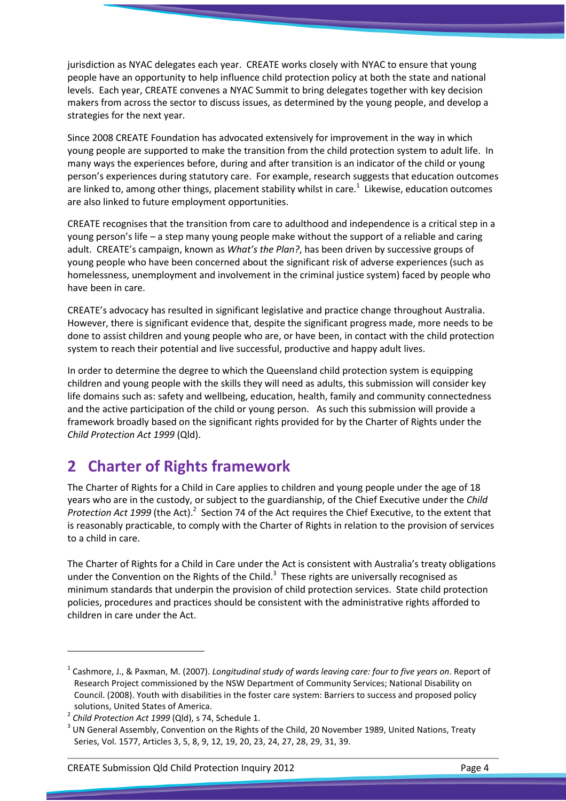jurisdiction as NYAC delegates each year. CREATE works closely with NYAC to ensure that young people have an opportunity to help influence child protection policy at both the state and national levels. Each year, CREATE convenes a NYAC Summit to bring delegates together with key decision makers from across the sector to discuss issues, as determined by the young people, and develop a strategies for the next year.

Since 2008 CREATE Foundation has advocated extensively for improvement in the way in which young people are supported to make the transition from the child protection system to adult life. In many ways the experiences before, during and after transition is an indicator of the child or young person's experiences during statutory care. For example, research suggests that education outcomes are linked to, among other things, placement stability whilst in care.<sup>1</sup> Likewise, education outcomes are also linked to future employment opportunities.

CREATE recognises that the transition from care to adulthood and independence is a critical step in a young person's life – a step many young people make without the support of a reliable and caring adult. CREATE's campaign, known as What's the Plan?, has been driven by successive groups of young people who have been concerned about the significant risk of adverse experiences (such as homelessness, unemployment and involvement in the criminal justice system) faced by people who have been in care.

CREATE's advocacy has resulted in significant legislative and practice change throughout Australia. However, there is significant evidence that, despite the significant progress made, more needs to be done to assist children and young people who are, or have been, in contact with the child protection system to reach their potential and live successful, productive and happy adult lives.

In order to determine the degree to which the Queensland child protection system is equipping children and young people with the skills they will need as adults, this submission will consider key life domains such as: safety and wellbeing, education, health, family and community connectedness and the active participation of the child or young person. As such this submission will provide a framework broadly based on the significant rights provided for by the Charter of Rights under the Child Protection Act 1999 (Qld).

# 2 Charter of Rights framework

The Charter of Rights for a Child in Care applies to children and young people under the age of 18 years who are in the custody, or subject to the guardianship, of the Chief Executive under the Child Protection Act 1999 (the Act). $^2$  Section 74 of the Act requires the Chief Executive, to the extent that is reasonably practicable, to comply with the Charter of Rights in relation to the provision of services to a child in care.

The Charter of Rights for a Child in Care under the Act is consistent with Australia's treaty obligations under the Convention on the Rights of the Child.<sup>3</sup> These rights are universally recognised as minimum standards that underpin the provision of child protection services. State child protection policies, procedures and practices should be consistent with the administrative rights afforded to children in care under the Act.

<sup>&</sup>lt;sup>1</sup> Cashmore, J., & Paxman, M. (2007). Longitudinal study of wards leaving care: four to five years on. Report of Research Project commissioned by the NSW Department of Community Services; National Disability on Council. (2008). Youth with disabilities in the foster care system: Barriers to success and proposed policy solutions, United States of America.

 $^2$  Child Protection Act 1999 (Qld), s 74, Schedule 1.

 $3$  UN General Assembly, Convention on the Rights of the Child, 20 November 1989, United Nations, Treaty Series, Vol. 1577, Articles 3, 5, 8, 9, 12, 19, 20, 23, 24, 27, 28, 29, 31, 39.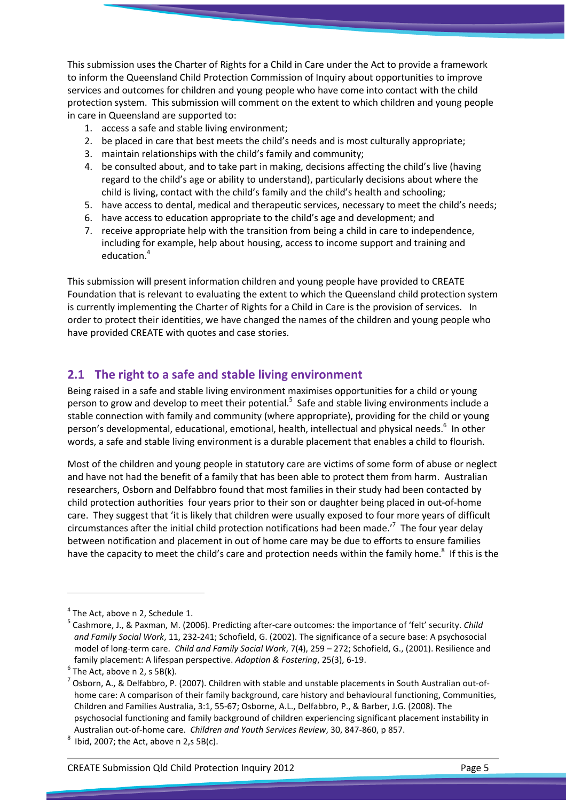This submission uses the Charter of Rights for a Child in Care under the Act to provide a framework to inform the Queensland Child Protection Commission of Inquiry about opportunities to improve services and outcomes for children and young people who have come into contact with the child protection system. This submission will comment on the extent to which children and young people in care in Queensland are supported to:

- 1. access a safe and stable living environment;
- 2. be placed in care that best meets the child's needs and is most culturally appropriate;
- 3. maintain relationships with the child's family and community;
- 4. be consulted about, and to take part in making, decisions affecting the child's live (having regard to the child's age or ability to understand), particularly decisions about where the child is living, contact with the child's family and the child's health and schooling;
- 5. have access to dental, medical and therapeutic services, necessary to meet the child's needs;
- 6. have access to education appropriate to the child's age and development; and
- 7. receive appropriate help with the transition from being a child in care to independence, including for example, help about housing, access to income support and training and education.<sup>4</sup>

This submission will present information children and young people have provided to CREATE Foundation that is relevant to evaluating the extent to which the Queensland child protection system is currently implementing the Charter of Rights for a Child in Care is the provision of services. In order to protect their identities, we have changed the names of the children and young people who have provided CREATE with quotes and case stories.

# 2.1 The right to a safe and stable living environment

Being raised in a safe and stable living environment maximises opportunities for a child or young person to grow and develop to meet their potential.<sup>5</sup> Safe and stable living environments include a stable connection with family and community (where appropriate), providing for the child or young person's developmental, educational, emotional, health, intellectual and physical needs.<sup>6</sup> In other words, a safe and stable living environment is a durable placement that enables a child to flourish.

Most of the children and young people in statutory care are victims of some form of abuse or neglect and have not had the benefit of a family that has been able to protect them from harm. Australian researchers, Osborn and Delfabbro found that most families in their study had been contacted by child protection authorities four years prior to their son or daughter being placed in out-of-home care. They suggest that 'it is likely that children were usually exposed to four more years of difficult circumstances after the initial child protection notifications had been made.<sup> $\tau$ </sup> The four year delay between notification and placement in out of home care may be due to efforts to ensure families have the capacity to meet the child's care and protection needs within the family home.<sup>8</sup> If this is the

 $4$  The Act, above n 2, Schedule 1.

<sup>&</sup>lt;sup>5</sup> Cashmore, J., & Paxman, M. (2006). Predicting after-care outcomes: the importance of 'felt' security. *Child* and Family Social Work, 11, 232-241; Schofield, G. (2002). The significance of a secure base: A psychosocial model of long-term care. Child and Family Social Work, 7(4), 259 – 272; Schofield, G., (2001). Resilience and family placement: A lifespan perspective. Adoption & Fostering, 25(3), 6-19.

 $<sup>6</sup>$  The Act, above n 2, s 5B(k).</sup>

 $^7$  Osborn, A., & Delfabbro, P. (2007). Children with stable and unstable placements in South Australian out-ofhome care: A comparison of their family background, care history and behavioural functioning, Communities, Children and Families Australia, 3:1, 55-67; Osborne, A.L., Delfabbro, P., & Barber, J.G. (2008). The psychosocial functioning and family background of children experiencing significant placement instability in Australian out-of-home care. Children and Youth Services Review, 30, 847-860, p 857.

<sup>8</sup> Ibid, 2007; the Act, above n 2,s 5B(c).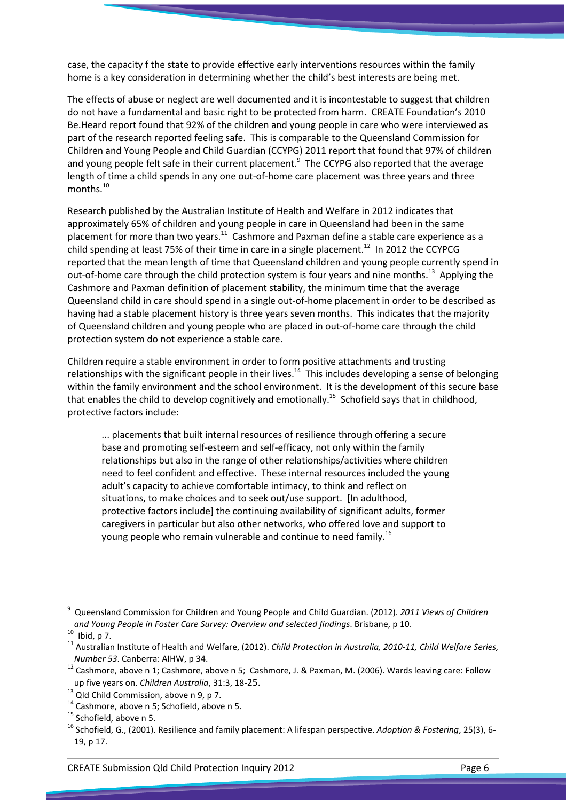case, the capacity f the state to provide effective early interventions resources within the family home is a key consideration in determining whether the child's best interests are being met.

The effects of abuse or neglect are well documented and it is incontestable to suggest that children do not have a fundamental and basic right to be protected from harm. CREATE Foundation's 2010 Be.Heard report found that 92% of the children and young people in care who were interviewed as part of the research reported feeling safe. This is comparable to the Queensland Commission for Children and Young People and Child Guardian (CCYPG) 2011 report that found that 97% of children and young people felt safe in their current placement.<sup>9</sup> The CCYPG also reported that the average length of time a child spends in any one out-of-home care placement was three years and three months.<sup>10</sup>

Research published by the Australian Institute of Health and Welfare in 2012 indicates that approximately 65% of children and young people in care in Queensland had been in the same placement for more than two years.<sup>11</sup> Cashmore and Paxman define a stable care experience as a child spending at least 75% of their time in care in a single placement.<sup>12</sup> In 2012 the CCYPCG reported that the mean length of time that Queensland children and young people currently spend in out-of-home care through the child protection system is four years and nine months.<sup>13</sup> Applying the Cashmore and Paxman definition of placement stability, the minimum time that the average Queensland child in care should spend in a single out-of-home placement in order to be described as having had a stable placement history is three years seven months. This indicates that the majority of Queensland children and young people who are placed in out-of-home care through the child protection system do not experience a stable care.

Children require a stable environment in order to form positive attachments and trusting relationships with the significant people in their lives.<sup>14</sup> This includes developing a sense of belonging within the family environment and the school environment. It is the development of this secure base that enables the child to develop cognitively and emotionally.<sup>15</sup> Schofield says that in childhood, protective factors include:

... placements that built internal resources of resilience through offering a secure base and promoting self-esteem and self-efficacy, not only within the family relationships but also in the range of other relationships/activities where children need to feel confident and effective. These internal resources included the young adult's capacity to achieve comfortable intimacy, to think and reflect on situations, to make choices and to seek out/use support. [In adulthood, protective factors include] the continuing availability of significant adults, former caregivers in particular but also other networks, who offered love and support to young people who remain vulnerable and continue to need family.<sup>16</sup>

 $\overline{\phantom{0}}$ 

<sup>&</sup>lt;sup>9</sup> Queensland Commission for Children and Young People and Child Guardian. (2012). *2011 Views of Children* and Young People in Foster Care Survey: Overview and selected findings. Brisbane, p 10.

 $10$  Ibid, p 7.

 $11$  Australian Institute of Health and Welfare, (2012). Child Protection in Australia, 2010-11, Child Welfare Series, Number 53. Canberra: AIHW, p 34.

 $12$  Cashmore, above n 1; Cashmore, above n 5; Cashmore, J. & Paxman, M. (2006). Wards leaving care: Follow up five years on. Children Australia, 31:3, 18-25.

 $13$  Qld Child Commission, above n 9, p 7.

<sup>&</sup>lt;sup>14</sup> Cashmore, above n 5; Schofield, above n 5.

<sup>&</sup>lt;sup>15</sup> Schofield, above n 5.

<sup>&</sup>lt;sup>16</sup> Schofield, G., (2001). Resilience and family placement: A lifespan perspective. Adoption & Fostering, 25(3), 6-19, p 17.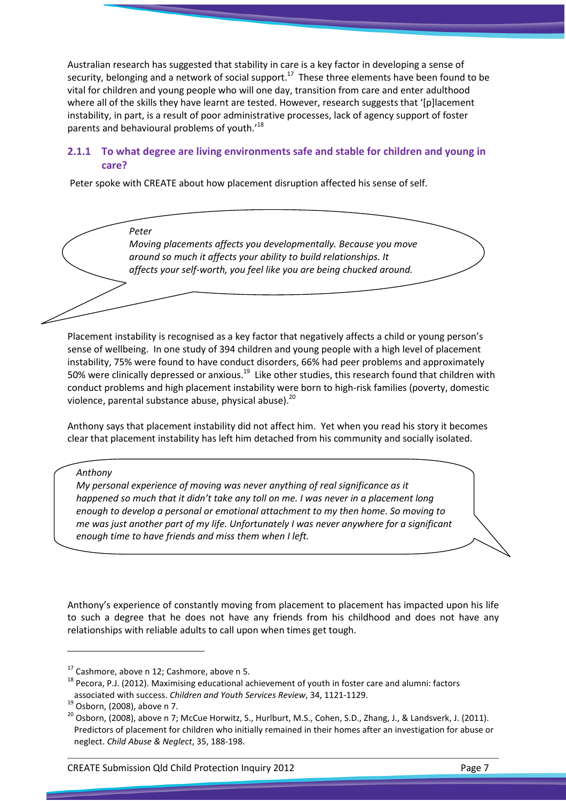Australian research has suggested that stability in care is a key factor in developing a sense of security, belonging and a network of social support.<sup>17</sup> These three elements have been found to be vital for children and young people who will one day, transition from care and enter adulthood where all of the skills they have learnt are tested. However, research suggests that '[p]lacement instability, in part, is a result of poor administrative processes, lack of agency support of foster parents and behavioural problems of youth.'<sup>18</sup>

## 2.1.1 To what degree are living environments safe and stable for children and young in care?

Peter spoke with CREATE about how placement disruption affected his sense of self.

Peter Moving placements affects you developmentally. Because you move around so much it affects your ability to build relationships. It affects your self-worth, you feel like you are being chucked around.

Placement instability is recognised as a key factor that negatively affects a child or young person's sense of wellbeing. In one study of 394 children and young people with a high level of placement instability, 75% were found to have conduct disorders, 66% had peer problems and approximately 50% were clinically depressed or anxious.<sup>19</sup> Like other studies, this research found that children with conduct problems and high placement instability were born to high-risk families (poverty, domestic violence, parental substance abuse, physical abuse).<sup>20</sup>

Anthony says that placement instability did not affect him. Yet when you read his story it becomes clear that placement instability has left him detached from his community and socially isolated.

Anthony

l

My personal experience of moving was never anything of real significance as it happened so much that it didn't take any toll on me. I was never in a placement long enough to develop a personal or emotional attachment to my then home. So moving to me was just another part of my life. Unfortunately I was never anywhere for a significant enough time to have friends and miss them when I left.

Anthony's experience of constantly moving from placement to placement has impacted upon his life to such a degree that he does not have any friends from his childhood and does not have any relationships with reliable adults to call upon when times get tough.

 $17$  Cashmore, above n 12; Cashmore, above n 5.

 $18$  Pecora, P.J. (2012). Maximising educational achievement of youth in foster care and alumni: factors associated with success. Children and Youth Services Review, 34, 1121-1129.

<sup>19</sup> Osborn, (2008), above n 7.

<sup>&</sup>lt;sup>20</sup> Osborn, (2008), above n 7; McCue Horwitz, S., Hurlburt, M.S., Cohen, S.D., Zhang, J., & Landsverk, J. (2011). Predictors of placement for children who initially remained in their homes after an investigation for abuse or neglect. Child Abuse & Neglect, 35, 188-198.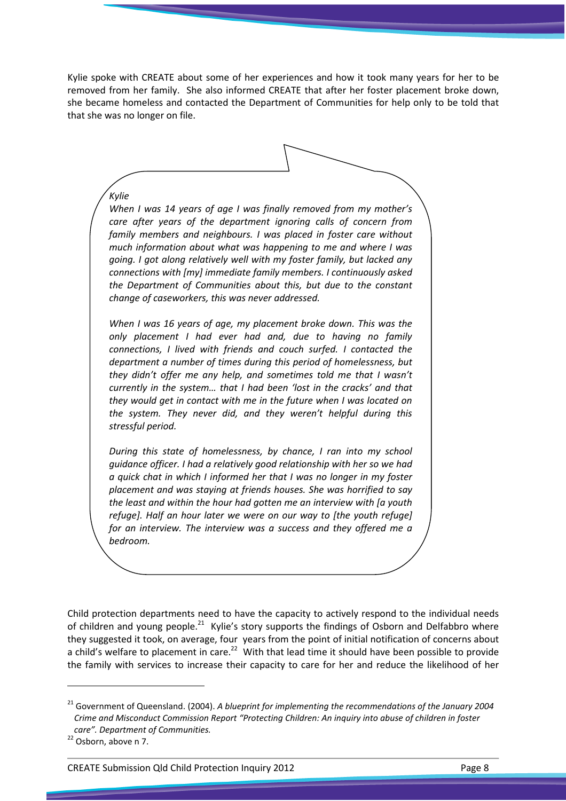Kylie spoke with CREATE about some of her experiences and how it took many years for her to be removed from her family. She also informed CREATE that after her foster placement broke down, she became homeless and contacted the Department of Communities for help only to be told that that she was no longer on file.

Kylie When I was 14 years of age I was finally removed from my mother's care after years of the department ignoring calls of concern from family members and neighbours. I was placed in foster care without much information about what was happening to me and where I was going. I got along relatively well with my foster family, but lacked any connections with [my] immediate family members. I continuously asked the Department of Communities about this, but due to the constant change of caseworkers, this was never addressed.

When I was 16 years of age, my placement broke down. This was the only placement I had ever had and, due to having no family connections, I lived with friends and couch surfed. I contacted the department a number of times during this period of homelessness, but they didn't offer me any help, and sometimes told me that I wasn't currently in the system… that I had been 'lost in the cracks' and that they would get in contact with me in the future when I was located on the system. They never did, and they weren't helpful during this stressful period.

During this state of homelessness, by chance, I ran into my school guidance officer. I had a relatively good relationship with her so we had a quick chat in which I informed her that I was no longer in my foster placement and was staying at friends houses. She was horrified to say the least and within the hour had gotten me an interview with [a youth refuge]. Half an hour later we were on our way to [the youth refuge] for an interview. The interview was a success and they offered me a bedroom.

Child protection departments need to have the capacity to actively respond to the individual needs of children and young people.<sup>21</sup> Kylie's story supports the findings of Osborn and Delfabbro where they suggested it took, on average, four years from the point of initial notification of concerns about a child's welfare to placement in care.<sup>22</sup> With that lead time it should have been possible to provide the family with services to increase their capacity to care for her and reduce the likelihood of her

 $\overline{a}$ 

<sup>&</sup>lt;sup>21</sup> Government of Queensland. (2004). A blueprint for implementing the recommendations of the January 2004 Crime and Misconduct Commission Report "Protecting Children: An inquiry into abuse of children in foster care". Department of Communities.

 $22$  Osborn, above n 7.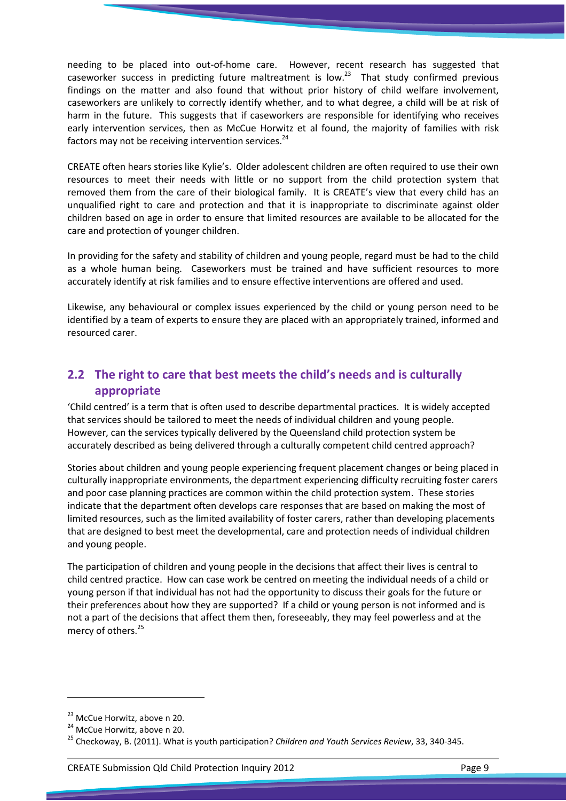needing to be placed into out-of-home care. However, recent research has suggested that caseworker success in predicting future maltreatment is low.<sup>23</sup> That study confirmed previous findings on the matter and also found that without prior history of child welfare involvement, caseworkers are unlikely to correctly identify whether, and to what degree, a child will be at risk of harm in the future. This suggests that if caseworkers are responsible for identifying who receives early intervention services, then as McCue Horwitz et al found, the majority of families with risk factors may not be receiving intervention services.<sup>24</sup>

CREATE often hears stories like Kylie's. Older adolescent children are often required to use their own resources to meet their needs with little or no support from the child protection system that removed them from the care of their biological family. It is CREATE's view that every child has an unqualified right to care and protection and that it is inappropriate to discriminate against older children based on age in order to ensure that limited resources are available to be allocated for the care and protection of younger children.

In providing for the safety and stability of children and young people, regard must be had to the child as a whole human being. Caseworkers must be trained and have sufficient resources to more accurately identify at risk families and to ensure effective interventions are offered and used.

Likewise, any behavioural or complex issues experienced by the child or young person need to be identified by a team of experts to ensure they are placed with an appropriately trained, informed and resourced carer.

# 2.2 The right to care that best meets the child's needs and is culturally appropriate

'Child centred' is a term that is often used to describe departmental practices. It is widely accepted that services should be tailored to meet the needs of individual children and young people. However, can the services typically delivered by the Queensland child protection system be accurately described as being delivered through a culturally competent child centred approach?

Stories about children and young people experiencing frequent placement changes or being placed in culturally inappropriate environments, the department experiencing difficulty recruiting foster carers and poor case planning practices are common within the child protection system. These stories indicate that the department often develops care responses that are based on making the most of limited resources, such as the limited availability of foster carers, rather than developing placements that are designed to best meet the developmental, care and protection needs of individual children and young people.

The participation of children and young people in the decisions that affect their lives is central to child centred practice. How can case work be centred on meeting the individual needs of a child or young person if that individual has not had the opportunity to discuss their goals for the future or their preferences about how they are supported? If a child or young person is not informed and is not a part of the decisions that affect them then, foreseeably, they may feel powerless and at the mercy of others.<sup>25</sup>

<sup>&</sup>lt;sup>23</sup> McCue Horwitz, above n 20.

<sup>&</sup>lt;sup>24</sup> McCue Horwitz, above n 20.

<sup>&</sup>lt;sup>25</sup> Checkoway, B. (2011). What is youth participation? Children and Youth Services Review, 33, 340-345.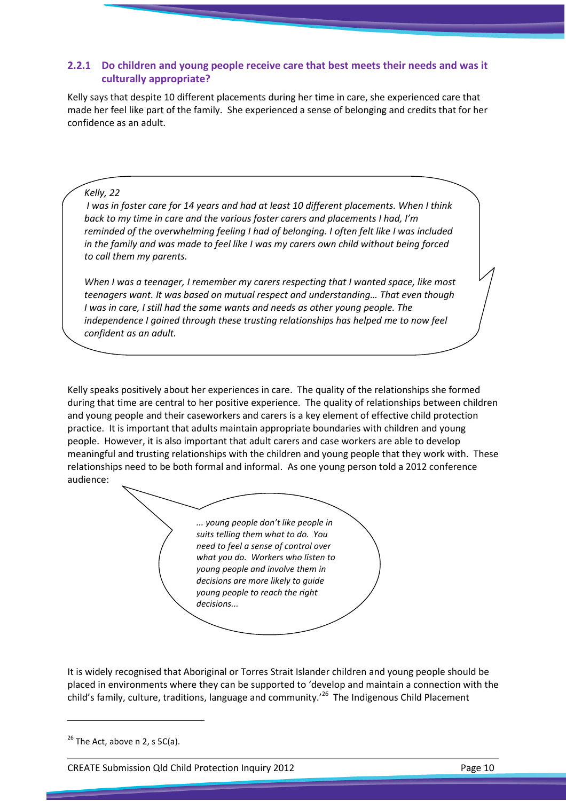### 2.2.1 Do children and young people receive care that best meets their needs and was it culturally appropriate?

Kelly says that despite 10 different placements during her time in care, she experienced care that made her feel like part of the family. She experienced a sense of belonging and credits that for her confidence as an adult.

### Kelly, 22

 I was in foster care for 14 years and had at least 10 different placements. When I think back to my time in care and the various foster carers and placements I had, I'm reminded of the overwhelming feeling I had of belonging. I often felt like I was included in the family and was made to feel like I was my carers own child without being forced to call them my parents.

When I was a teenager, I remember my carers respecting that I wanted space, like most teenagers want. It was based on mutual respect and understanding… That even though I was in care, I still had the same wants and needs as other young people. The independence I gained through these trusting relationships has helped me to now feel confident as an adult.

Kelly speaks positively about her experiences in care. The quality of the relationships she formed during that time are central to her positive experience. The quality of relationships between children and young people and their caseworkers and carers is a key element of effective child protection practice. It is important that adults maintain appropriate boundaries with children and young people. However, it is also important that adult carers and case workers are able to develop meaningful and trusting relationships with the children and young people that they work with. These relationships need to be both formal and informal. As one young person told a 2012 conference audience:



It is widely recognised that Aboriginal or Torres Strait Islander children and young people should be placed in environments where they can be supported to 'develop and maintain a connection with the child's family, culture, traditions, language and community.<sup>'26</sup> The Indigenous Child Placement

l

CREATE Submission Qld Child Protection Inquiry 2012 Page 10

 $26$  The Act, above n 2, s 5C(a).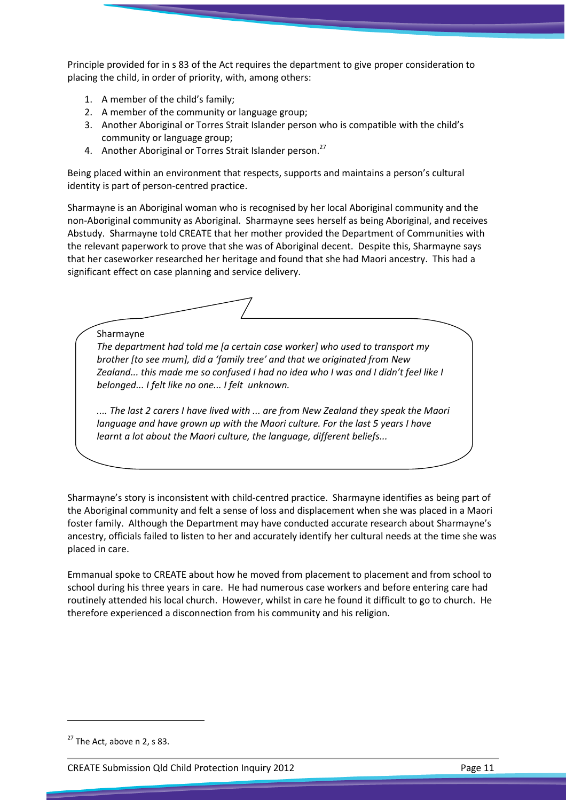Principle provided for in s 83 of the Act requires the department to give proper consideration to placing the child, in order of priority, with, among others:

- 1. A member of the child's family;
- 2. A member of the community or language group;
- 3. Another Aboriginal or Torres Strait Islander person who is compatible with the child's community or language group;
- 4. Another Aboriginal or Torres Strait Islander person.<sup>27</sup>

Being placed within an environment that respects, supports and maintains a person's cultural identity is part of person-centred practice.

Sharmayne is an Aboriginal woman who is recognised by her local Aboriginal community and the non-Aboriginal community as Aboriginal. Sharmayne sees herself as being Aboriginal, and receives Abstudy. Sharmayne told CREATE that her mother provided the Department of Communities with the relevant paperwork to prove that she was of Aboriginal decent. Despite this, Sharmayne says that her caseworker researched her heritage and found that she had Maori ancestry. This had a significant effect on case planning and service delivery.

Sharmayne

The department had told me [a certain case worker] who used to transport my brother [to see mum], did a 'family tree' and that we originated from New Zealand... this made me so confused I had no idea who I was and I didn't feel like I belonged... I felt like no one... I felt unknown.

.... The last 2 carers I have lived with ... are from New Zealand they speak the Maori language and have grown up with the Maori culture. For the last 5 years I have learnt a lot about the Maori culture, the language, different beliefs...

Sharmayne's story is inconsistent with child-centred practice. Sharmayne identifies as being part of the Aboriginal community and felt a sense of loss and displacement when she was placed in a Maori foster family. Although the Department may have conducted accurate research about Sharmayne's ancestry, officials failed to listen to her and accurately identify her cultural needs at the time she was placed in care.

Emmanual spoke to CREATE about how he moved from placement to placement and from school to school during his three years in care. He had numerous case workers and before entering care had routinely attended his local church. However, whilst in care he found it difficult to go to church. He therefore experienced a disconnection from his community and his religion.

 $27$  The Act, above n 2, s 83.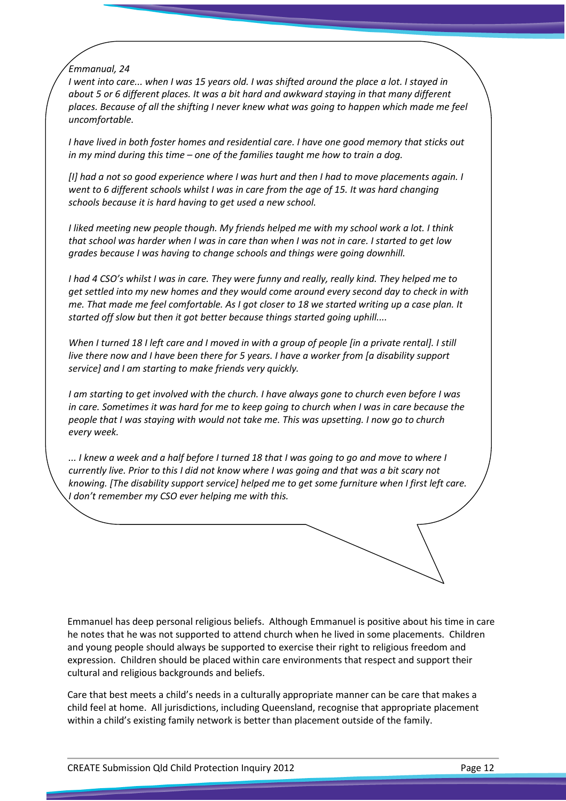Emmanual, 24

I went into care... when I was 15 years old. I was shifted around the place a lot. I stayed in about 5 or 6 different places. It was a bit hard and awkward staying in that many different places. Because of all the shifting I never knew what was going to happen which made me feel uncomfortable.

I have lived in both foster homes and residential care. I have one good memory that sticks out in my mind during this time – one of the families taught me how to train a dog.

[I] had a not so good experience where I was hurt and then I had to move placements again. I went to 6 different schools whilst I was in care from the age of 15. It was hard changing schools because it is hard having to get used a new school.

I liked meeting new people though. My friends helped me with my school work a lot. I think that school was harder when I was in care than when I was not in care. I started to get low grades because I was having to change schools and things were going downhill.

I had 4 CSO's whilst I was in care. They were funny and really, really kind. They helped me to get settled into my new homes and they would come around every second day to check in with me. That made me feel comfortable. As I got closer to 18 we started writing up a case plan. It started off slow but then it got better because things started going uphill....

When I turned 18 I left care and I moved in with a group of people [in a private rental]. I still live there now and I have been there for 5 years. I have a worker from [a disability support service] and I am starting to make friends very quickly.

I am starting to get involved with the church. I have always gone to church even before I was in care. Sometimes it was hard for me to keep going to church when I was in care because the people that I was staying with would not take me. This was upsetting. I now go to church every week.

... I knew a week and a half before I turned 18 that I was going to go and move to where I currently live. Prior to this I did not know where I was going and that was a bit scary not knowing. [The disability support service] helped me to get some furniture when I first left care. I don't remember my CSO ever helping me with this.

Emmanuel has deep personal religious beliefs. Although Emmanuel is positive about his time in care he notes that he was not supported to attend church when he lived in some placements. Children and young people should always be supported to exercise their right to religious freedom and expression. Children should be placed within care environments that respect and support their cultural and religious backgrounds and beliefs.

Care that best meets a child's needs in a culturally appropriate manner can be care that makes a child feel at home. All jurisdictions, including Queensland, recognise that appropriate placement within a child's existing family network is better than placement outside of the family.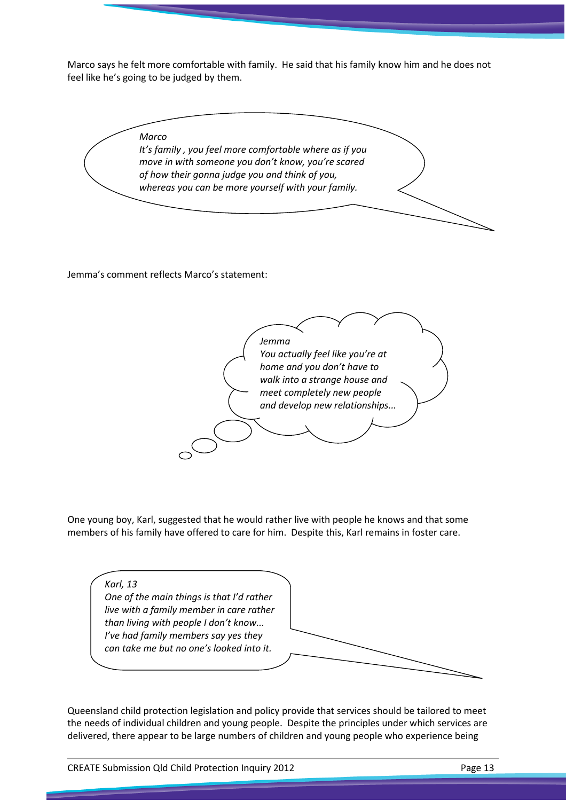Marco says he felt more comfortable with family. He said that his family know him and he does not feel like he's going to be judged by them.



Jemma's comment reflects Marco's statement:



One young boy, Karl, suggested that he would rather live with people he knows and that some members of his family have offered to care for him. Despite this, Karl remains in foster care.

Karl, 13 One of the main things is that I'd rather live with a family member in care rather than living with people I don't know... I've had family members say yes they can take me but no one's looked into it.

Queensland child protection legislation and policy provide that services should be tailored to meet the needs of individual children and young people. Despite the principles under which services are delivered, there appear to be large numbers of children and young people who experience being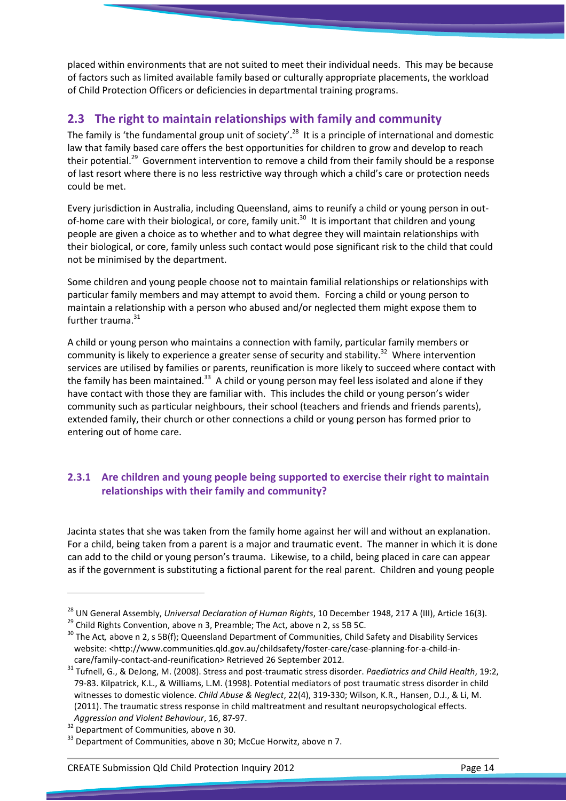placed within environments that are not suited to meet their individual needs. This may be because of factors such as limited available family based or culturally appropriate placements, the workload of Child Protection Officers or deficiencies in departmental training programs.

# 2.3 The right to maintain relationships with family and community

The family is 'the fundamental group unit of society'.<sup>28</sup> It is a principle of international and domestic law that family based care offers the best opportunities for children to grow and develop to reach their potential.<sup>29</sup> Government intervention to remove a child from their family should be a response of last resort where there is no less restrictive way through which a child's care or protection needs could be met.

Every jurisdiction in Australia, including Queensland, aims to reunify a child or young person in outof-home care with their biological, or core, family unit.<sup>30</sup> It is important that children and young people are given a choice as to whether and to what degree they will maintain relationships with their biological, or core, family unless such contact would pose significant risk to the child that could not be minimised by the department.

Some children and young people choose not to maintain familial relationships or relationships with particular family members and may attempt to avoid them. Forcing a child or young person to maintain a relationship with a person who abused and/or neglected them might expose them to further trauma.<sup>31</sup>

A child or young person who maintains a connection with family, particular family members or community is likely to experience a greater sense of security and stability.<sup>32</sup> Where intervention services are utilised by families or parents, reunification is more likely to succeed where contact with the family has been maintained.<sup>33</sup> A child or young person may feel less isolated and alone if they have contact with those they are familiar with. This includes the child or young person's wider community such as particular neighbours, their school (teachers and friends and friends parents), extended family, their church or other connections a child or young person has formed prior to entering out of home care.

# 2.3.1 Are children and young people being supported to exercise their right to maintain relationships with their family and community?

Jacinta states that she was taken from the family home against her will and without an explanation. For a child, being taken from a parent is a major and traumatic event. The manner in which it is done can add to the child or young person's trauma. Likewise, to a child, being placed in care can appear as if the government is substituting a fictional parent for the real parent. Children and young people

<sup>&</sup>lt;sup>28</sup> UN General Assembly, Universal Declaration of Human Rights, 10 December 1948, 217 A (III), Article 16(3).

 $^{29}$  Child Rights Convention, above n 3, Preamble; The Act, above n 2, ss 5B 5C.

<sup>&</sup>lt;sup>30</sup> The Act, above n 2, s 5B(f); Queensland Department of Communities, Child Safety and Disability Services website: <http://www.communities.qld.gov.au/childsafety/foster-care/case-planning-for-a-child-incare/family-contact-and-reunification> Retrieved 26 September 2012.

<sup>&</sup>lt;sup>31</sup> Tufnell, G., & DeJong, M. (2008). Stress and post-traumatic stress disorder. Paediatrics and Child Health, 19:2, 79-83. Kilpatrick, K.L., & Williams, L.M. (1998). Potential mediators of post traumatic stress disorder in child witnesses to domestic violence. Child Abuse & Neglect, 22(4), 319-330; Wilson, K.R., Hansen, D.J., & Li, M. (2011). The traumatic stress response in child maltreatment and resultant neuropsychological effects. Aggression and Violent Behaviour, 16, 87-97.

<sup>&</sup>lt;sup>32</sup> Department of Communities, above n 30.

 $33$  Department of Communities, above n 30; McCue Horwitz, above n 7.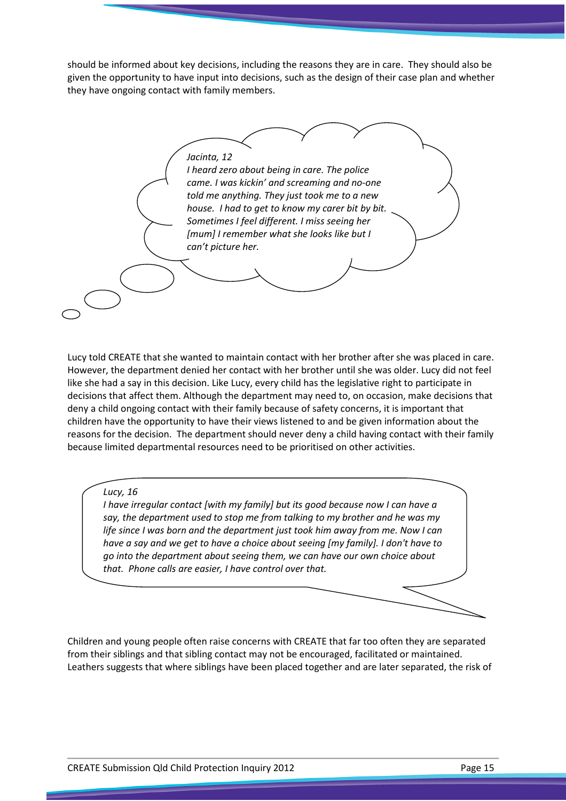should be informed about key decisions, including the reasons they are in care. They should also be given the opportunity to have input into decisions, such as the design of their case plan and whether they have ongoing contact with family members.

Jacinta, 12 I heard zero about being in care. The police came. I was kickin' and screaming and no-one told me anything. They just took me to a new house. I had to get to know my carer bit by bit. Sometimes I feel different. I miss seeing her [mum] I remember what she looks like but I can't picture her.

Lucy told CREATE that she wanted to maintain contact with her brother after she was placed in care. However, the department denied her contact with her brother until she was older. Lucy did not feel like she had a say in this decision. Like Lucy, every child has the legislative right to participate in decisions that affect them. Although the department may need to, on occasion, make decisions that deny a child ongoing contact with their family because of safety concerns, it is important that children have the opportunity to have their views listened to and be given information about the reasons for the decision. The department should never deny a child having contact with their family because limited departmental resources need to be prioritised on other activities.

#### Lucy, 16

I have irregular contact [with my family] but its good because now I can have a say, the department used to stop me from talking to my brother and he was my life since I was born and the department just took him away from me. Now I can have a say and we get to have a choice about seeing [my family]. I don't have to go into the department about seeing them, we can have our own choice about that. Phone calls are easier, I have control over that.

Children and young people often raise concerns with CREATE that far too often they are separated from their siblings and that sibling contact may not be encouraged, facilitated or maintained. Leathers suggests that where siblings have been placed together and are later separated, the risk of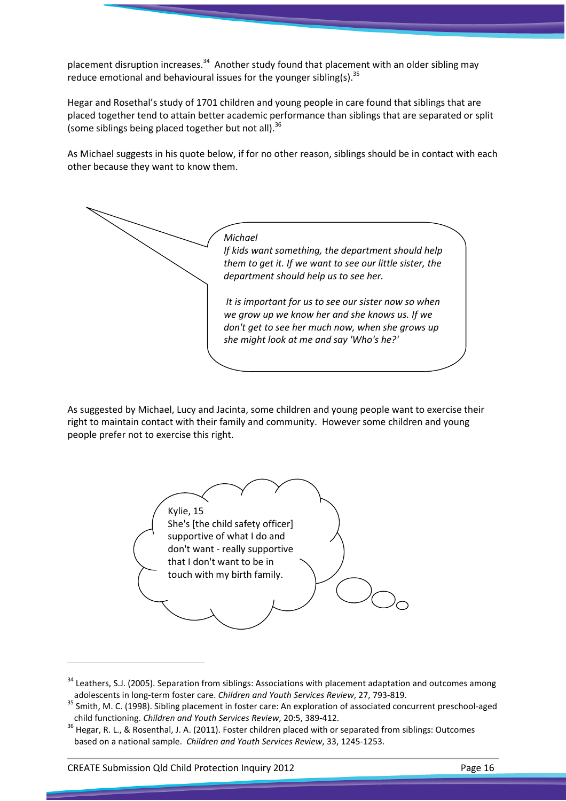placement disruption increases.<sup>34</sup> Another study found that placement with an older sibling may reduce emotional and behavioural issues for the younger sibling(s).  $35$ 

Hegar and Rosethal's study of 1701 children and young people in care found that siblings that are placed together tend to attain better academic performance than siblings that are separated or split (some siblings being placed together but not all).<sup>36</sup>

As Michael suggests in his quote below, if for no other reason, siblings should be in contact with each other because they want to know them.



As suggested by Michael, Lucy and Jacinta, some children and young people want to exercise their right to maintain contact with their family and community. However some children and young people prefer not to exercise this right.



 $34$  Leathers, S.J. (2005). Separation from siblings: Associations with placement adaptation and outcomes among adolescents in long-term foster care. Children and Youth Services Review, 27, 793-819.

 $\overline{a}$ 

<sup>35</sup> Smith, M. C. (1998). Sibling placement in foster care: An exploration of associated concurrent preschool-aged child functioning. Children and Youth Services Review, 20:5, 389-412.

<sup>36</sup> Hegar, R. L., & Rosenthal, J. A. (2011). Foster children placed with or separated from siblings: Outcomes based on a national sample. Children and Youth Services Review, 33, 1245-1253.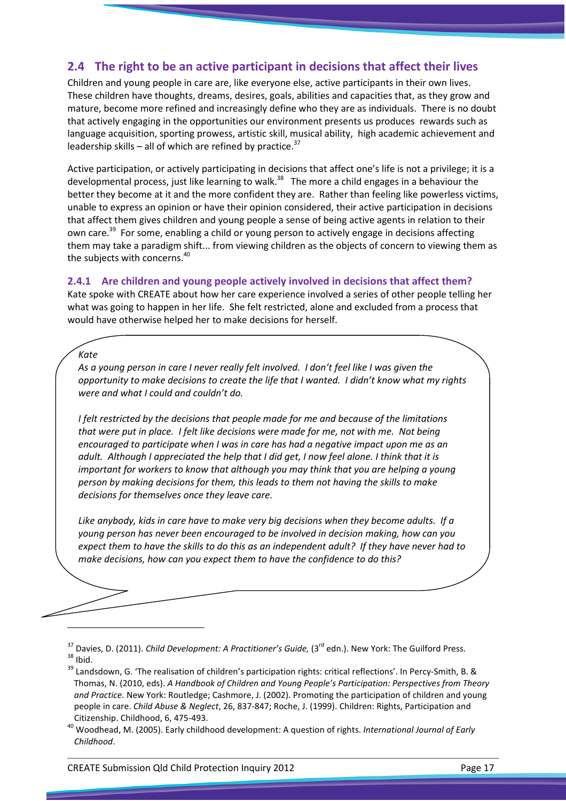## 2.4 The right to be an active participant in decisions that affect their lives

Children and young people in care are, like everyone else, active participants in their own lives. These children have thoughts, dreams, desires, goals, abilities and capacities that, as they grow and mature, become more refined and increasingly define who they are as individuals. There is no doubt that actively engaging in the opportunities our environment presents us produces rewards such as language acquisition, sporting prowess, artistic skill, musical ability, high academic achievement and leadership skills – all of which are refined by practice.<sup>37</sup>

Active participation, or actively participating in decisions that affect one's life is not a privilege; it is a developmental process, just like learning to walk.<sup>38</sup> The more a child engages in a behaviour the better they become at it and the more confident they are. Rather than feeling like powerless victims, unable to express an opinion or have their opinion considered, their active participation in decisions that affect them gives children and young people a sense of being active agents in relation to their own care.<sup>39</sup> For some, enabling a child or young person to actively engage in decisions affecting them may take a paradigm shift... from viewing children as the objects of concern to viewing them as the subjects with concerns.<sup>40</sup>

#### 2.4.1 Are children and young people actively involved in decisions that affect them?

Kate spoke with CREATE about how her care experience involved a series of other people telling her what was going to happen in her life. She felt restricted, alone and excluded from a process that would have otherwise helped her to make decisions for herself.

### Kate

 $\overline{\phantom{0}}$ 

As a young person in care I never really felt involved. I don't feel like I was given the opportunity to make decisions to create the life that I wanted. I didn't know what my rights were and what I could and couldn't do.

I felt restricted by the decisions that people made for me and because of the limitations that were put in place. I felt like decisions were made for me, not with me. Not being encouraged to participate when I was in care has had a negative impact upon me as an adult. Although I appreciated the help that I did get, I now feel alone. I think that it is important for workers to know that although you may think that you are helping a young person by making decisions for them, this leads to them not having the skills to make decisions for themselves once they leave care.

Like anybody, kids in care have to make very big decisions when they become adults. If a young person has never been encouraged to be involved in decision making, how can you expect them to have the skills to do this as an independent adult? If they have never had to make decisions, how can you expect them to have the confidence to do this?

 $37$  Davies, D. (2011). Child Development: A Practitioner's Guide, (3<sup>rd</sup> edn.). New York: The Guilford Press.  $38$  Ibid.

<sup>&</sup>lt;sup>39</sup> Landsdown, G. 'The realisation of children's participation rights: critical reflections'. In Percy-Smith, B. & Thomas, N. (2010, eds). A Handbook of Children and Young People's Participation: Perspectives from Theory and Practice. New York: Routledge; Cashmore, J. (2002). Promoting the participation of children and young people in care. Child Abuse & Neglect, 26, 837-847; Roche, J. (1999). Children: Rights, Participation and Citizenship. Childhood, 6, 475-493.

<sup>&</sup>lt;sup>40</sup> Woodhead, M. (2005). Early childhood development: A question of rights. International Journal of Early Childhood.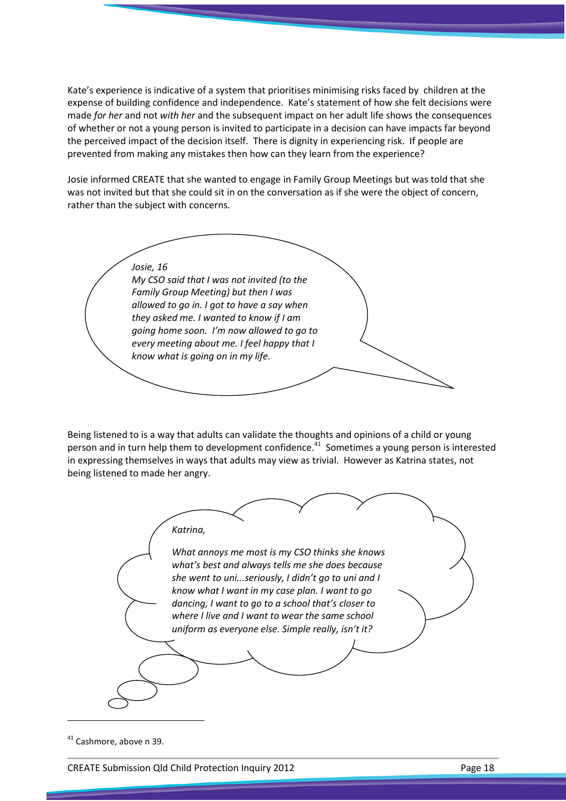Kate's experience is indicative of a system that prioritises minimising risks faced by children at the expense of building confidence and independence. Kate's statement of how she felt decisions were made for her and not with her and the subsequent impact on her adult life shows the consequences of whether or not a young person is invited to participate in a decision can have impacts far beyond the perceived impact of the decision itself. There is dignity in experiencing risk. If people are prevented from making any mistakes then how can they learn from the experience?

Josie informed CREATE that she wanted to engage in Family Group Meetings but was told that she was not invited but that she could sit in on the conversation as if she were the object of concern, rather than the subject with concerns.

Josie, 16 My CSO said that I was not invited (to the Family Group Meeting) but then I was allowed to go in. I got to have a say when they asked me. I wanted to know if I am going home soon. I'm now allowed to go to every meeting about me. I feel happy that I know what is going on in my life.

Being listened to is a way that adults can validate the thoughts and opinions of a child or young person and in turn help them to development confidence.<sup>41</sup> Sometimes a young person is interested in expressing themselves in ways that adults may view as trivial. However as Katrina states, not being listened to made her angry.



 $41$  Cashmore, above n 39.

CREATE Submission Qld Child Protection Inquiry 2012 **Page 18** Page 18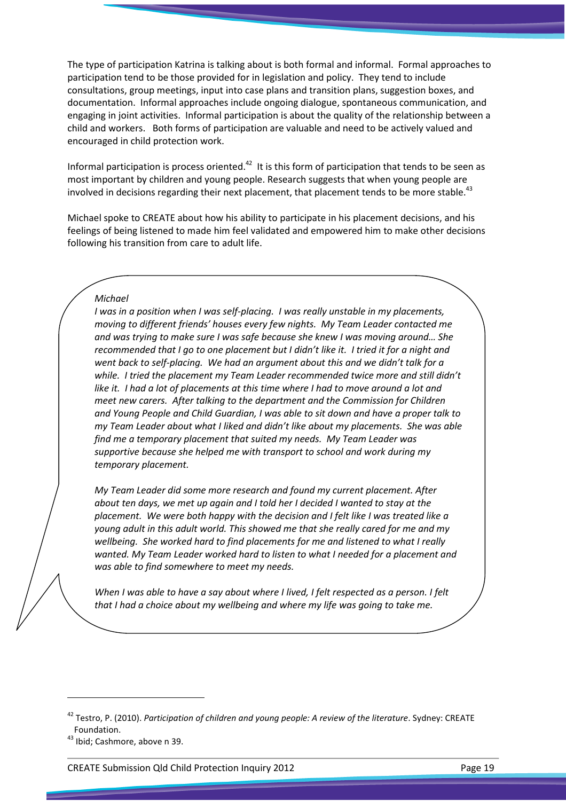The type of participation Katrina is talking about is both formal and informal. Formal approaches to participation tend to be those provided for in legislation and policy. They tend to include consultations, group meetings, input into case plans and transition plans, suggestion boxes, and documentation. Informal approaches include ongoing dialogue, spontaneous communication, and engaging in joint activities. Informal participation is about the quality of the relationship between a child and workers. Both forms of participation are valuable and need to be actively valued and encouraged in child protection work.

Informal participation is process oriented. $42$  It is this form of participation that tends to be seen as most important by children and young people. Research suggests that when young people are involved in decisions regarding their next placement, that placement tends to be more stable.<sup>43</sup>

Michael spoke to CREATE about how his ability to participate in his placement decisions, and his feelings of being listened to made him feel validated and empowered him to make other decisions following his transition from care to adult life.

#### Michael

I was in a position when I was self-placing. I was really unstable in my placements, moving to different friends' houses every few nights. My Team Leader contacted me and was trying to make sure I was safe because she knew I was moving around… She recommended that I go to one placement but I didn't like it. I tried it for a night and went back to self-placing. We had an argument about this and we didn't talk for a while. I tried the placement my Team Leader recommended twice more and still didn't like it. I had a lot of placements at this time where I had to move around a lot and meet new carers. After talking to the department and the Commission for Children and Young People and Child Guardian, I was able to sit down and have a proper talk to my Team Leader about what I liked and didn't like about my placements. She was able find me a temporary placement that suited my needs. My Team Leader was supportive because she helped me with transport to school and work during my temporary placement.

My Team Leader did some more research and found my current placement. After about ten days, we met up again and I told her I decided I wanted to stay at the placement. We were both happy with the decision and I felt like I was treated like a young adult in this adult world. This showed me that she really cared for me and my wellbeing. She worked hard to find placements for me and listened to what I really wanted. My Team Leader worked hard to listen to what I needed for a placement and was able to find somewhere to meet my needs.

When I was able to have a say about where I lived. I felt respected as a person. I felt that I had a choice about my wellbeing and where my life was going to take me.

l

CREATE Submission Qld Child Protection Inquiry 2012 Page 19

<sup>&</sup>lt;sup>42</sup> Testro, P. (2010). Participation of children and young people: A review of the literature. Sydney: CREATE Foundation.

<sup>43</sup> Ibid; Cashmore, above n 39.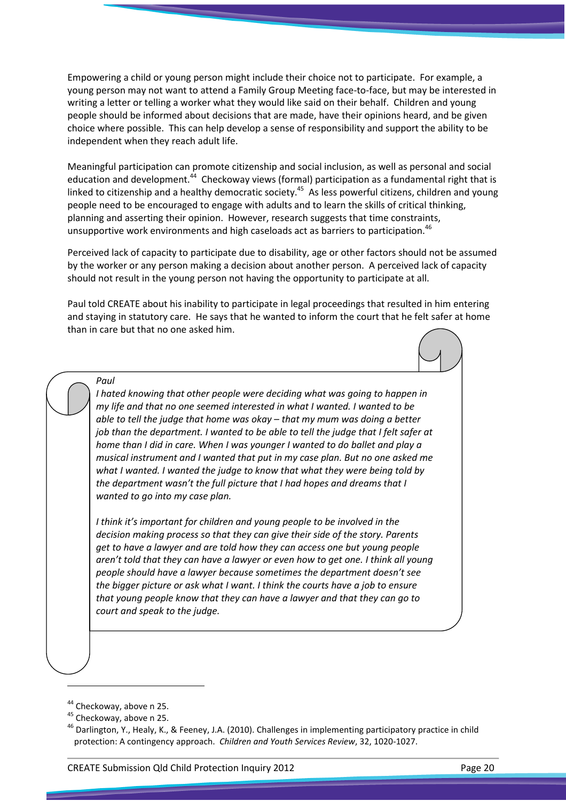Empowering a child or young person might include their choice not to participate. For example, a young person may not want to attend a Family Group Meeting face-to-face, but may be interested in writing a letter or telling a worker what they would like said on their behalf. Children and young people should be informed about decisions that are made, have their opinions heard, and be given choice where possible. This can help develop a sense of responsibility and support the ability to be independent when they reach adult life.

Meaningful participation can promote citizenship and social inclusion, as well as personal and social education and development.<sup>44</sup> Checkoway views (formal) participation as a fundamental right that is linked to citizenship and a healthy democratic society.<sup>45</sup> As less powerful citizens, children and young people need to be encouraged to engage with adults and to learn the skills of critical thinking, planning and asserting their opinion. However, research suggests that time constraints, unsupportive work environments and high caseloads act as barriers to participation.<sup>46</sup>

Perceived lack of capacity to participate due to disability, age or other factors should not be assumed by the worker or any person making a decision about another person. A perceived lack of capacity should not result in the young person not having the opportunity to participate at all.

Paul told CREATE about his inability to participate in legal proceedings that resulted in him entering and staying in statutory care. He says that he wanted to inform the court that he felt safer at home than in care but that no one asked him.



I hated knowing that other people were deciding what was going to happen in my life and that no one seemed interested in what I wanted. I wanted to be able to tell the judge that home was okay – that my mum was doing a better job than the department. I wanted to be able to tell the judge that I felt safer at home than I did in care. When I was younger I wanted to do ballet and play a musical instrument and I wanted that put in my case plan. But no one asked me what I wanted. I wanted the judge to know that what they were being told by the department wasn't the full picture that I had hopes and dreams that I wanted to go into my case plan.

I think it's important for children and young people to be involved in the decision making process so that they can give their side of the story. Parents get to have a lawyer and are told how they can access one but young people aren't told that they can have a lawyer or even how to get one. I think all young people should have a lawyer because sometimes the department doesn't see the bigger picture or ask what I want. I think the courts have a job to ensure that young people know that they can have a lawyer and that they can go to court and speak to the judge.

 $\overline{a}$ 

<sup>&</sup>lt;sup>44</sup> Checkoway, above n 25.

<sup>&</sup>lt;sup>45</sup> Checkoway, above n 25.

 $46$  Darlington, Y., Healy, K., & Feeney, J.A. (2010). Challenges in implementing participatory practice in child protection: A contingency approach. Children and Youth Services Review, 32, 1020-1027.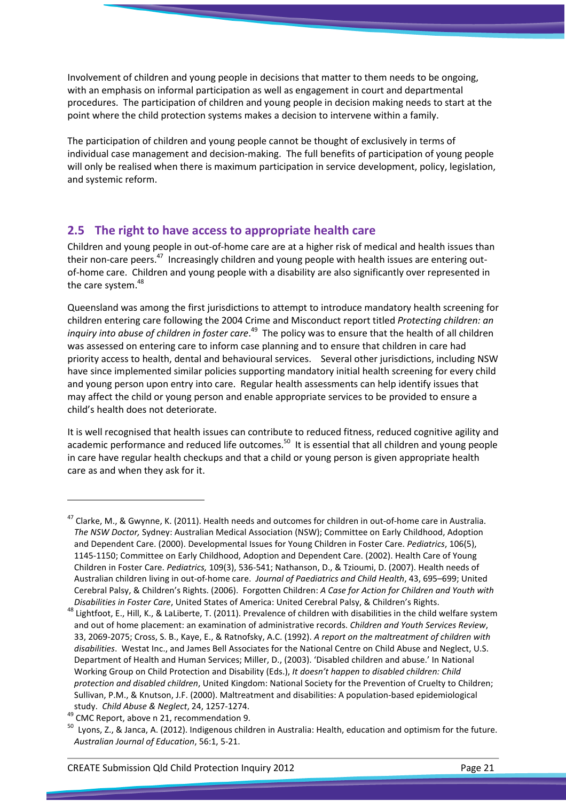Involvement of children and young people in decisions that matter to them needs to be ongoing, with an emphasis on informal participation as well as engagement in court and departmental procedures. The participation of children and young people in decision making needs to start at the point where the child protection systems makes a decision to intervene within a family.

The participation of children and young people cannot be thought of exclusively in terms of individual case management and decision-making. The full benefits of participation of young people will only be realised when there is maximum participation in service development, policy, legislation, and systemic reform.

# 2.5 The right to have access to appropriate health care

Children and young people in out-of-home care are at a higher risk of medical and health issues than their non-care peers.<sup>47</sup> Increasingly children and young people with health issues are entering outof-home care. Children and young people with a disability are also significantly over represented in the care system.<sup>48</sup>

Queensland was among the first jurisdictions to attempt to introduce mandatory health screening for children entering care following the 2004 Crime and Misconduct report titled Protecting children: an inquiry into abuse of children in foster care.<sup>49</sup> The policy was to ensure that the health of all children was assessed on entering care to inform case planning and to ensure that children in care had priority access to health, dental and behavioural services. Several other jurisdictions, including NSW have since implemented similar policies supporting mandatory initial health screening for every child and young person upon entry into care. Regular health assessments can help identify issues that may affect the child or young person and enable appropriate services to be provided to ensure a child's health does not deteriorate.

It is well recognised that health issues can contribute to reduced fitness, reduced cognitive agility and academic performance and reduced life outcomes.<sup>50</sup> It is essential that all children and young people in care have regular health checkups and that a child or young person is given appropriate health care as and when they ask for it.

 $\overline{a}$ 

 $^{47}$  Clarke, M., & Gwynne, K. (2011). Health needs and outcomes for children in out-of-home care in Australia. The NSW Doctor, Sydney: Australian Medical Association (NSW); Committee on Early Childhood, Adoption and Dependent Care. (2000). Developmental Issues for Young Children in Foster Care. Pediatrics, 106(5), 1145-1150; Committee on Early Childhood, Adoption and Dependent Care. (2002). Health Care of Young Children in Foster Care. Pediatrics, 109(3), 536-541; Nathanson, D., & Tzioumi, D. (2007). Health needs of Australian children living in out-of-home care. Journal of Paediatrics and Child Health, 43, 695–699; United Cerebral Palsy, & Children's Rights. (2006). Forgotten Children: A Case for Action for Children and Youth with Disabilities in Foster Care, United States of America: United Cerebral Palsy, & Children's Rights.

 $^{48}$  Lightfoot, E., Hill, K., & LaLiberte, T. (2011). Prevalence of children with disabilities in the child welfare system and out of home placement: an examination of administrative records. Children and Youth Services Review, 33, 2069-2075; Cross, S. B., Kaye, E., & Ratnofsky, A.C. (1992). A report on the maltreatment of children with disabilities. Westat Inc., and James Bell Associates for the National Centre on Child Abuse and Neglect, U.S. Department of Health and Human Services; Miller, D., (2003). 'Disabled children and abuse.' In National Working Group on Child Protection and Disability (Eds.), It doesn't happen to disabled children: Child protection and disabled children, United Kingdom: National Society for the Prevention of Cruelty to Children; Sullivan, P.M., & Knutson, J.F. (2000). Maltreatment and disabilities: A population-based epidemiological study. Child Abuse & Neglect, 24, 1257-1274.

<sup>49</sup> CMC Report, above n 21, recommendation 9.

<sup>&</sup>lt;sup>50</sup> Lyons, Z., & Janca, A. (2012). Indigenous children in Australia: Health, education and optimism for the future. Australian Journal of Education, 56:1, 5-21.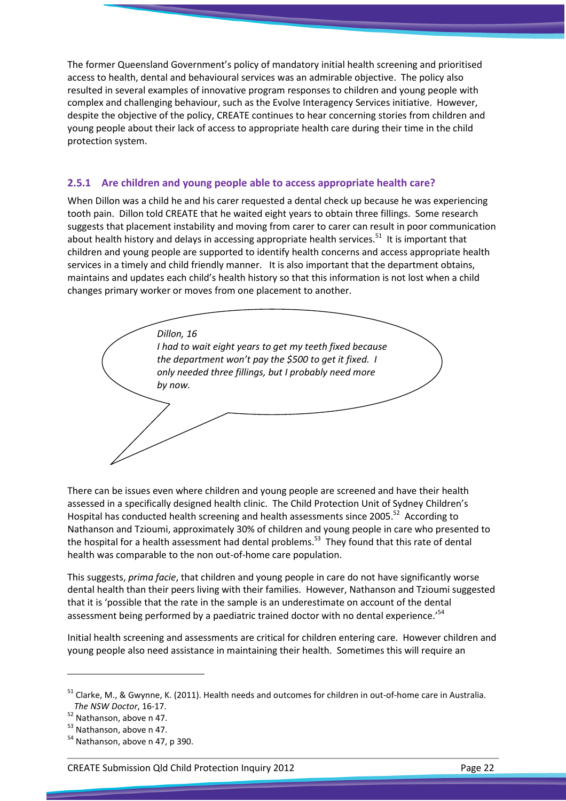The former Queensland Government's policy of mandatory initial health screening and prioritised access to health, dental and behavioural services was an admirable objective. The policy also resulted in several examples of innovative program responses to children and young people with complex and challenging behaviour, such as the Evolve Interagency Services initiative. However, despite the objective of the policy, CREATE continues to hear concerning stories from children and young people about their lack of access to appropriate health care during their time in the child protection system.

### 2.5.1 Are children and young people able to access appropriate health care?

When Dillon was a child he and his carer requested a dental check up because he was experiencing tooth pain. Dillon told CREATE that he waited eight years to obtain three fillings. Some research suggests that placement instability and moving from carer to carer can result in poor communication about health history and delays in accessing appropriate health services. $51$  It is important that children and young people are supported to identify health concerns and access appropriate health services in a timely and child friendly manner. It is also important that the department obtains, maintains and updates each child's health history so that this information is not lost when a child changes primary worker or moves from one placement to another.



There can be issues even where children and young people are screened and have their health assessed in a specifically designed health clinic. The Child Protection Unit of Sydney Children's Hospital has conducted health screening and health assessments since 2005.<sup>52</sup> According to Nathanson and Tzioumi, approximately 30% of children and young people in care who presented to the hospital for a health assessment had dental problems.<sup>53</sup> They found that this rate of dental health was comparable to the non out-of-home care population.

This suggests, prima facie, that children and young people in care do not have significantly worse dental health than their peers living with their families. However, Nathanson and Tzioumi suggested that it is 'possible that the rate in the sample is an underestimate on account of the dental assessment being performed by a paediatric trained doctor with no dental experience.<sup>54</sup>

Initial health screening and assessments are critical for children entering care. However children and young people also need assistance in maintaining their health. Sometimes this will require an

<sup>51</sup> Clarke, M., & Gwynne, K. (2011). Health needs and outcomes for children in out-of-home care in Australia. The NSW Doctor, 16-17.

<sup>52</sup> Nathanson, above n 47.

<sup>53</sup> Nathanson, above n 47.

<sup>&</sup>lt;sup>54</sup> Nathanson, above n 47, p 390.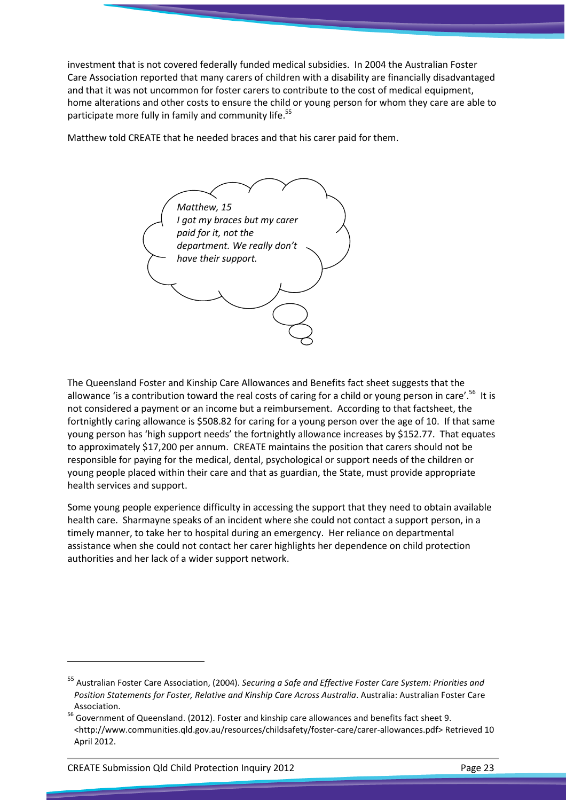investment that is not covered federally funded medical subsidies. In 2004 the Australian Foster Care Association reported that many carers of children with a disability are financially disadvantaged and that it was not uncommon for foster carers to contribute to the cost of medical equipment, home alterations and other costs to ensure the child or young person for whom they care are able to participate more fully in family and community life.<sup>55</sup>

Matthew told CREATE that he needed braces and that his carer paid for them.

Matthew, 15 I got my braces but my carer paid for it, not the department. We really don't have their support.

The Queensland Foster and Kinship Care Allowances and Benefits fact sheet suggests that the allowance 'is a contribution toward the real costs of caring for a child or young person in care'.<sup>56</sup> It is not considered a payment or an income but a reimbursement. According to that factsheet, the fortnightly caring allowance is \$508.82 for caring for a young person over the age of 10. If that same young person has 'high support needs' the fortnightly allowance increases by \$152.77. That equates to approximately \$17,200 per annum. CREATE maintains the position that carers should not be responsible for paying for the medical, dental, psychological or support needs of the children or young people placed within their care and that as guardian, the State, must provide appropriate health services and support.

Some young people experience difficulty in accessing the support that they need to obtain available health care. Sharmayne speaks of an incident where she could not contact a support person, in a timely manner, to take her to hospital during an emergency. Her reliance on departmental assistance when she could not contact her carer highlights her dependence on child protection authorities and her lack of a wider support network.

<sup>&</sup>lt;sup>55</sup> Australian Foster Care Association, (2004). Securing a Safe and Effective Foster Care System: Priorities and Position Statements for Foster, Relative and Kinship Care Across Australia. Australia: Australian Foster Care Association.

<sup>56</sup> Government of Queensland. (2012). Foster and kinship care allowances and benefits fact sheet 9. <http://www.communities.qld.gov.au/resources/childsafety/foster-care/carer-allowances.pdf> Retrieved 10 April 2012.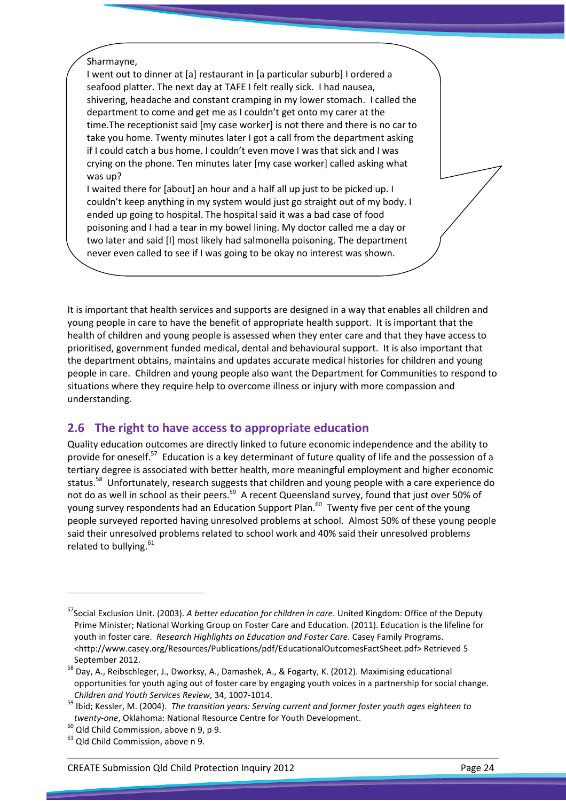#### Sharmayne,

I went out to dinner at [a] restaurant in [a particular suburb] I ordered a seafood platter. The next day at TAFE I felt really sick. I had nausea, shivering, headache and constant cramping in my lower stomach. I called the department to come and get me as I couldn't get onto my carer at the time.The receptionist said [my case worker] is not there and there is no car to take you home. Twenty minutes later I got a call from the department asking if I could catch a bus home. I couldn't even move I was that sick and I was crying on the phone. Ten minutes later [my case worker] called asking what was up?

I waited there for [about] an hour and a half all up just to be picked up. I couldn't keep anything in my system would just go straight out of my body. I ended up going to hospital. The hospital said it was a bad case of food poisoning and I had a tear in my bowel lining. My doctor called me a day or two later and said [I] most likely had salmonella poisoning. The department never even called to see if I was going to be okay no interest was shown.

It is important that health services and supports are designed in a way that enables all children and young people in care to have the benefit of appropriate health support. It is important that the health of children and young people is assessed when they enter care and that they have access to prioritised, government funded medical, dental and behavioural support. It is also important that the department obtains, maintains and updates accurate medical histories for children and young people in care. Children and young people also want the Department for Communities to respond to situations where they require help to overcome illness or injury with more compassion and understanding.

# 2.6 The right to have access to appropriate education

Quality education outcomes are directly linked to future economic independence and the ability to provide for oneself.<sup>57</sup> Education is a key determinant of future quality of life and the possession of a tertiary degree is associated with better health, more meaningful employment and higher economic status.<sup>58</sup> Unfortunately, research suggests that children and young people with a care experience do not do as well in school as their peers.<sup>59</sup> A recent Queensland survey, found that just over 50% of young survey respondents had an Education Support Plan.<sup>60</sup> Twenty five per cent of the young people surveyed reported having unresolved problems at school. Almost 50% of these young people said their unresolved problems related to school work and 40% said their unresolved problems related to bullying.<sup>61</sup>

<sup>&</sup>lt;sup>57</sup>Social Exclusion Unit. (2003). A better education for children in care. United Kingdom: Office of the Deputy Prime Minister; National Working Group on Foster Care and Education. (2011). Education is the lifeline for youth in foster care. Research Highlights on Education and Foster Care. Casey Family Programs. <http://www.casey.org/Resources/Publications/pdf/EducationalOutcomesFactSheet.pdf> Retrieved 5 September 2012.

<sup>58</sup> Day, A., Reibschleger, J., Dworksy, A., Damashek, A., & Fogarty, K. (2012). Maximising educational opportunities for youth aging out of foster care by engaging youth voices in a partnership for social change. Children and Youth Services Review, 34, 1007-1014.

<sup>&</sup>lt;sup>59</sup> Ibid; Kessler, M. (2004). The transition years: Serving current and former foster youth ages eighteen to twenty-one, Oklahoma: National Resource Centre for Youth Development.

 $60$  Qld Child Commission, above n 9, p 9.

<sup>&</sup>lt;sup>61</sup> Qld Child Commission, above n 9.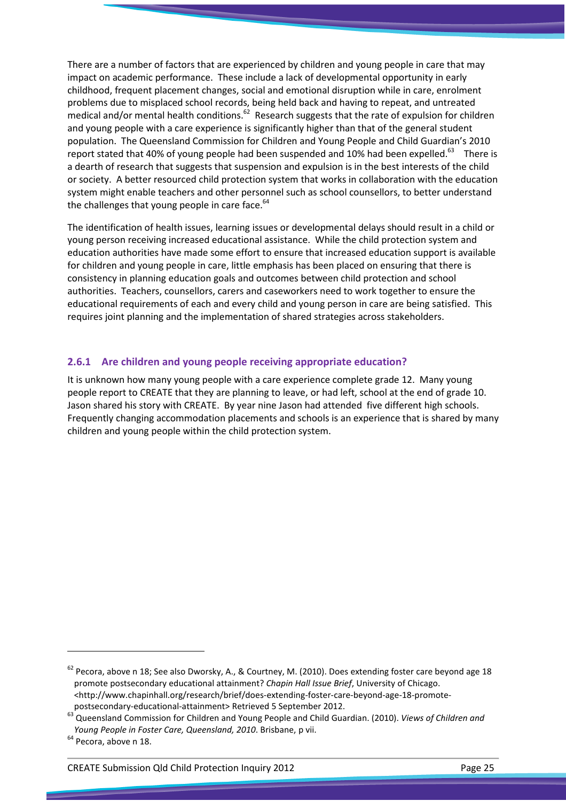There are a number of factors that are experienced by children and young people in care that may impact on academic performance. These include a lack of developmental opportunity in early childhood, frequent placement changes, social and emotional disruption while in care, enrolment problems due to misplaced school records, being held back and having to repeat, and untreated medical and/or mental health conditions.<sup>62</sup> Research suggests that the rate of expulsion for children and young people with a care experience is significantly higher than that of the general student population. The Queensland Commission for Children and Young People and Child Guardian's 2010 report stated that 40% of young people had been suspended and 10% had been expelled.<sup>63</sup> There is a dearth of research that suggests that suspension and expulsion is in the best interests of the child or society. A better resourced child protection system that works in collaboration with the education system might enable teachers and other personnel such as school counsellors, to better understand the challenges that young people in care face. $64$ 

The identification of health issues, learning issues or developmental delays should result in a child or young person receiving increased educational assistance. While the child protection system and education authorities have made some effort to ensure that increased education support is available for children and young people in care, little emphasis has been placed on ensuring that there is consistency in planning education goals and outcomes between child protection and school authorities. Teachers, counsellors, carers and caseworkers need to work together to ensure the educational requirements of each and every child and young person in care are being satisfied. This requires joint planning and the implementation of shared strategies across stakeholders.

### 2.6.1 Are children and young people receiving appropriate education?

It is unknown how many young people with a care experience complete grade 12. Many young people report to CREATE that they are planning to leave, or had left, school at the end of grade 10. Jason shared his story with CREATE. By year nine Jason had attended five different high schools. Frequently changing accommodation placements and schools is an experience that is shared by many children and young people within the child protection system.

 $62$  Pecora, above n 18; See also Dworsky, A., & Courtney, M. (2010). Does extending foster care beyond age 18 promote postsecondary educational attainment? Chapin Hall Issue Brief, University of Chicago. <http://www.chapinhall.org/research/brief/does-extending-foster-care-beyond-age-18-promotepostsecondary-educational-attainment> Retrieved 5 September 2012.

<sup>63</sup> Queensland Commission for Children and Young People and Child Guardian. (2010). *Views of Children and* Young People in Foster Care, Queensland, 2010. Brisbane, p vii.

<sup>&</sup>lt;sup>64</sup> Pecora, above n 18.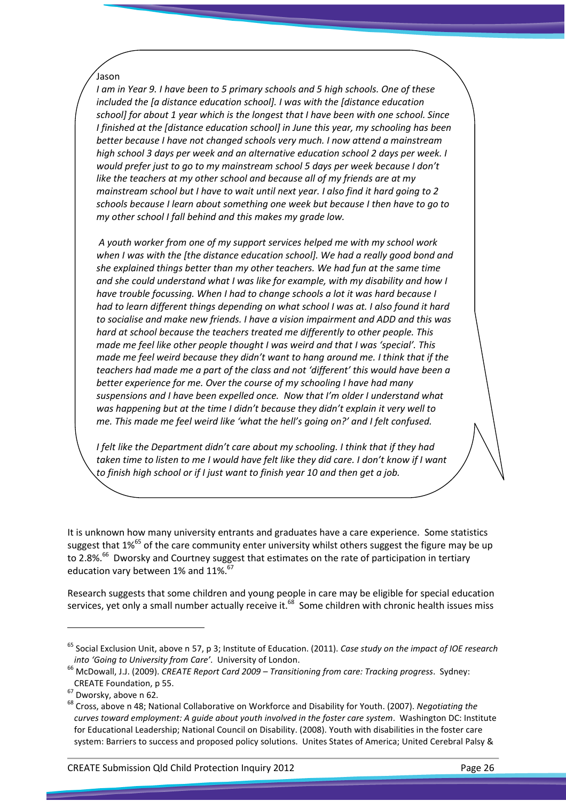### Jason

I am in Year 9. I have been to 5 primary schools and 5 high schools. One of these included the [a distance education school]. I was with the [distance education school] for about 1 year which is the longest that I have been with one school. Since I finished at the [distance education school] in June this year, my schooling has been better because I have not changed schools very much. I now attend a mainstream high school 3 days per week and an alternative education school 2 days per week. I would prefer just to go to my mainstream school 5 days per week because I don't like the teachers at my other school and because all of my friends are at my mainstream school but I have to wait until next year. I also find it hard going to 2 schools because I learn about something one week but because I then have to go to my other school I fall behind and this makes my grade low.

 A youth worker from one of my support services helped me with my school work when I was with the [the distance education school]. We had a really good bond and she explained things better than my other teachers. We had fun at the same time and she could understand what I was like for example, with my disability and how I have trouble focussing. When I had to change schools a lot it was hard because I had to learn different things depending on what school I was at. I also found it hard to socialise and make new friends. I have a vision impairment and ADD and this was hard at school because the teachers treated me differently to other people. This made me feel like other people thought I was weird and that I was 'special'. This made me feel weird because they didn't want to hang around me. I think that if the teachers had made me a part of the class and not 'different' this would have been a better experience for me. Over the course of my schooling I have had many suspensions and I have been expelled once. Now that I'm older I understand what was happening but at the time I didn't because they didn't explain it very well to me. This made me feel weird like 'what the hell's going on?' and I felt confused.

I felt like the Department didn't care about my schooling. I think that if they had taken time to listen to me I would have felt like they did care. I don't know if I want to finish high school or if I just want to finish year 10 and then get a job.

It is unknown how many university entrants and graduates have a care experience. Some statistics suggest that 1%<sup>65</sup> of the care community enter university whilst others suggest the figure may be up to 2.8%.<sup>66</sup> Dworsky and Courtney suggest that estimates on the rate of participation in tertiary education vary between 1% and 11%.<sup>67</sup>

Research suggests that some children and young people in care may be eligible for special education services, yet only a small number actually receive it.<sup>68</sup> Some children with chronic health issues miss

 $\overline{\phantom{0}}$ 

CREATE Submission Qld Child Protection Inquiry 2012 Page 26

 $65$  Social Exclusion Unit, above n 57, p 3; Institute of Education. (2011). Case study on the impact of IOE research into 'Going to University from Care'. University of London.

<sup>&</sup>lt;sup>66</sup> McDowall, J.J. (2009). CREATE Report Card 2009 – Transitioning from care: Tracking progress. Sydney: CREATE Foundation, p 55.

<sup>67</sup> Dworsky, above n 62.

<sup>&</sup>lt;sup>68</sup> Cross, above n 48; National Collaborative on Workforce and Disability for Youth. (2007). Negotiating the curves toward employment: A guide about youth involved in the foster care system. Washington DC: Institute for Educational Leadership; National Council on Disability. (2008). Youth with disabilities in the foster care system: Barriers to success and proposed policy solutions. Unites States of America; United Cerebral Palsy &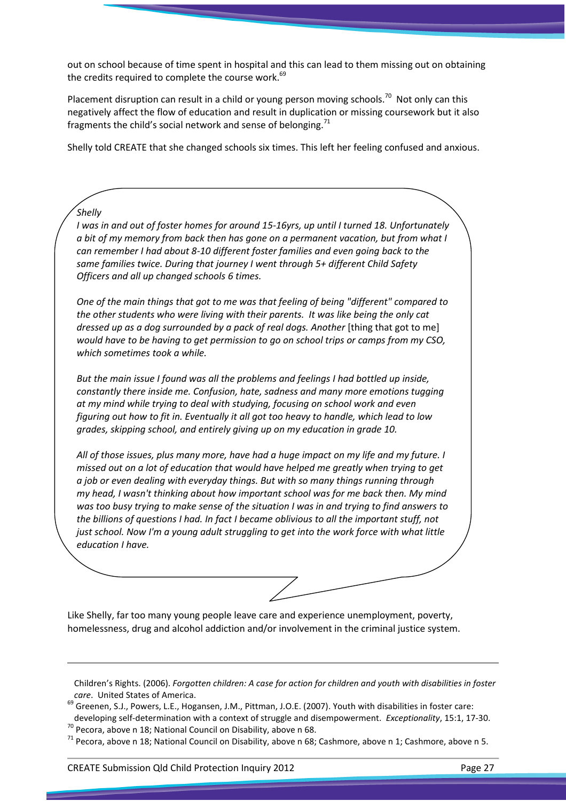out on school because of time spent in hospital and this can lead to them missing out on obtaining the credits required to complete the course work.<sup>69</sup>

Placement disruption can result in a child or young person moving schools.<sup>70</sup> Not only can this negatively affect the flow of education and result in duplication or missing coursework but it also fragments the child's social network and sense of belonging.<sup>71</sup>

Shelly told CREATE that she changed schools six times. This left her feeling confused and anxious.

I was in and out of foster homes for around 15-16yrs, up until I turned 18. Unfortunately a bit of my memory from back then has gone on a permanent vacation, but from what I can remember I had about 8-10 different foster families and even going back to the same families twice. During that journey I went through 5+ different Child Safety Officers and all up changed schools 6 times.

One of the main things that got to me was that feeling of being "different" compared to the other students who were living with their parents. It was like being the only cat dressed up as a dog surrounded by a pack of real dogs. Another [thing that got to me] would have to be having to get permission to go on school trips or camps from my CSO, which sometimes took a while.

But the main issue I found was all the problems and feelings I had bottled up inside, constantly there inside me. Confusion, hate, sadness and many more emotions tugging at my mind while trying to deal with studying, focusing on school work and even figuring out how to fit in. Eventually it all got too heavy to handle, which lead to low grades, skipping school, and entirely giving up on my education in grade 10.

All of those issues, plus many more, have had a huge impact on my life and my future. I missed out on a lot of education that would have helped me greatly when trying to get a job or even dealing with everyday things. But with so many things running through my head, I wasn't thinking about how important school was for me back then. My mind was too busy trying to make sense of the situation I was in and trying to find answers to the billions of questions I had. In fact I became oblivious to all the important stuff, not just school. Now I'm a young adult struggling to get into the work force with what little education I have.

Like Shelly, far too many young people leave care and experience unemployment, poverty, homelessness, drug and alcohol addiction and/or involvement in the criminal justice system.

Children's Rights. (2006). Forgotten children: A case for action for children and youth with disabilities in foster care. United States of America.

69 Greenen, S.J., Powers, L.E., Hogansen, J.M., Pittman, J.O.E. (2007). Youth with disabilities in foster care:

developing self-determination with a context of struggle and disempowerment. Exceptionality, 15:1, 17-30.  $70$  Pecora, above n 18; National Council on Disability, above n 68.

<sup>71</sup> Pecora, above n 18; National Council on Disability, above n 68; Cashmore, above n 1; Cashmore, above n 5.

 $\overline{a}$ 

**Shelly**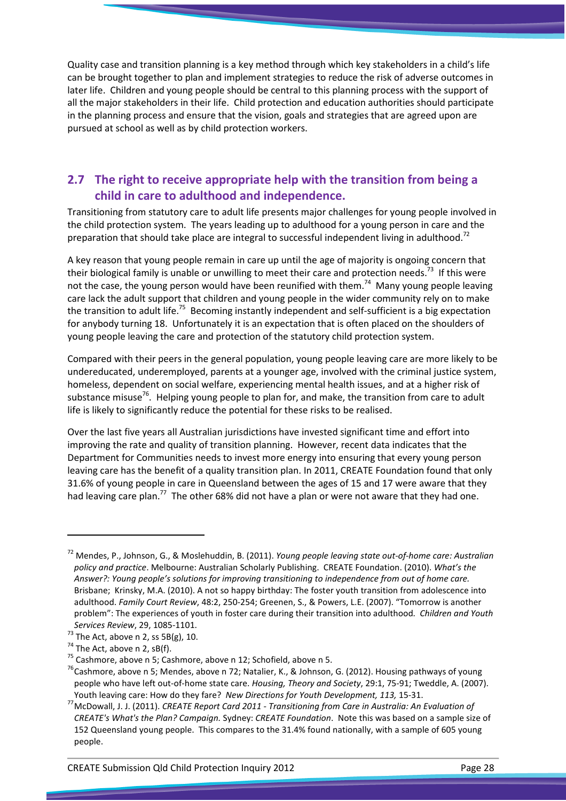Quality case and transition planning is a key method through which key stakeholders in a child's life can be brought together to plan and implement strategies to reduce the risk of adverse outcomes in later life. Children and young people should be central to this planning process with the support of all the major stakeholders in their life. Child protection and education authorities should participate in the planning process and ensure that the vision, goals and strategies that are agreed upon are pursued at school as well as by child protection workers.

# 2.7 The right to receive appropriate help with the transition from being a child in care to adulthood and independence.

Transitioning from statutory care to adult life presents major challenges for young people involved in the child protection system. The years leading up to adulthood for a young person in care and the preparation that should take place are integral to successful independent living in adulthood.<sup>72</sup>

A key reason that young people remain in care up until the age of majority is ongoing concern that their biological family is unable or unwilling to meet their care and protection needs.<sup>73</sup> If this were not the case, the young person would have been reunified with them.<sup>74</sup> Many young people leaving care lack the adult support that children and young people in the wider community rely on to make the transition to adult life.<sup>75</sup> Becoming instantly independent and self-sufficient is a big expectation for anybody turning 18. Unfortunately it is an expectation that is often placed on the shoulders of young people leaving the care and protection of the statutory child protection system.

Compared with their peers in the general population, young people leaving care are more likely to be undereducated, underemployed, parents at a younger age, involved with the criminal justice system, homeless, dependent on social welfare, experiencing mental health issues, and at a higher risk of substance misuse<sup>76</sup>. Helping young people to plan for, and make, the transition from care to adult life is likely to significantly reduce the potential for these risks to be realised.

Over the last five years all Australian jurisdictions have invested significant time and effort into improving the rate and quality of transition planning. However, recent data indicates that the Department for Communities needs to invest more energy into ensuring that every young person leaving care has the benefit of a quality transition plan. In 2011, CREATE Foundation found that only 31.6% of young people in care in Queensland between the ages of 15 and 17 were aware that they had leaving care plan.<sup>77</sup> The other 68% did not have a plan or were not aware that they had one.

 $\overline{a}$ 

<sup>&</sup>lt;sup>72</sup> Mendes, P., Johnson, G., & Moslehuddin, B. (2011). Young people leaving state out-of-home care: Australian policy and practice. Melbourne: Australian Scholarly Publishing. CREATE Foundation. (2010). What's the Answer?: Young people's solutions for improving transitioning to independence from out of home care. Brisbane; Krinsky, M.A. (2010). A not so happy birthday: The foster youth transition from adolescence into adulthood. Family Court Review, 48:2, 250-254; Greenen, S., & Powers, L.E. (2007). "Tomorrow is another problem": The experiences of youth in foster care during their transition into adulthood. Children and Youth Services Review, 29, 1085-1101.

 $^{73}$  The Act, above n 2, ss 5B(g), 10.

 $74$  The Act, above n 2, sB(f).

 $^{75}$  Cashmore, above n 5; Cashmore, above n 12; Schofield, above n 5.

<sup>&</sup>lt;sup>76</sup> Cashmore, above n 5; Mendes, above n 72; Natalier, K., & Johnson, G. (2012). Housing pathways of young people who have left out-of-home state care. Housing, Theory and Society, 29:1, 75-91; Tweddle, A. (2007). Youth leaving care: How do they fare? New Directions for Youth Development, 113, 15-31.

<sup>77</sup> McDowall, J. J. (2011). CREATE Report Card 2011 - Transitioning from Care in Australia: An Evaluation of CREATE's What's the Plan? Campaign. Sydney: CREATE Foundation. Note this was based on a sample size of 152 Queensland young people. This compares to the 31.4% found nationally, with a sample of 605 young people.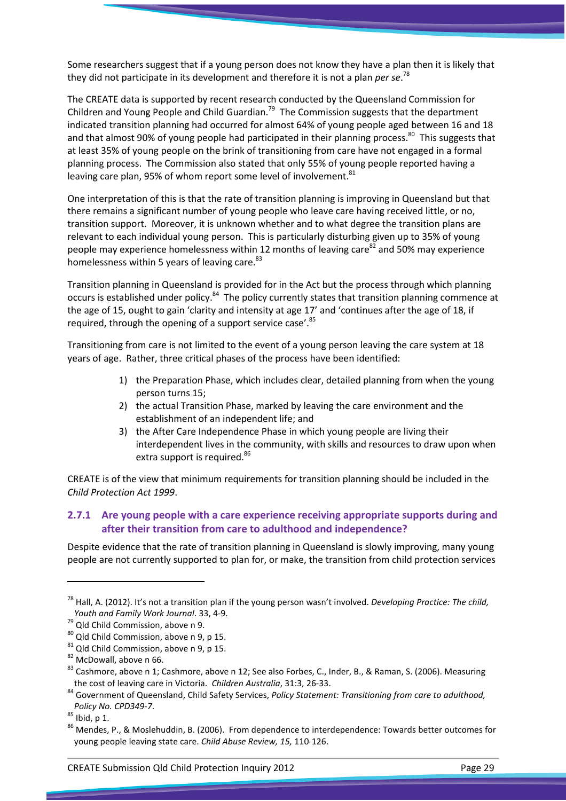Some researchers suggest that if a young person does not know they have a plan then it is likely that they did not participate in its development and therefore it is not a plan per se.<sup>78</sup>

The CREATE data is supported by recent research conducted by the Queensland Commission for Children and Young People and Child Guardian.<sup>79</sup> The Commission suggests that the department indicated transition planning had occurred for almost 64% of young people aged between 16 and 18 and that almost 90% of young people had participated in their planning process.<sup>80</sup> This suggests that at least 35% of young people on the brink of transitioning from care have not engaged in a formal planning process. The Commission also stated that only 55% of young people reported having a leaving care plan, 95% of whom report some level of involvement. $81$ 

One interpretation of this is that the rate of transition planning is improving in Queensland but that there remains a significant number of young people who leave care having received little, or no, transition support. Moreover, it is unknown whether and to what degree the transition plans are relevant to each individual young person. This is particularly disturbing given up to 35% of young people may experience homelessness within 12 months of leaving care<sup>82</sup> and 50% may experience homelessness within 5 years of leaving care.<sup>83</sup>

Transition planning in Queensland is provided for in the Act but the process through which planning occurs is established under policy.<sup>84</sup> The policy currently states that transition planning commence at the age of 15, ought to gain 'clarity and intensity at age 17' and 'continues after the age of 18, if required, through the opening of a support service case'.<sup>85</sup>

Transitioning from care is not limited to the event of a young person leaving the care system at 18 years of age. Rather, three critical phases of the process have been identified:

- 1) the Preparation Phase, which includes clear, detailed planning from when the young person turns 15;
- 2) the actual Transition Phase, marked by leaving the care environment and the establishment of an independent life; and
- 3) the After Care Independence Phase in which young people are living their interdependent lives in the community, with skills and resources to draw upon when extra support is required.<sup>86</sup>

CREATE is of the view that minimum requirements for transition planning should be included in the Child Protection Act 1999.

## 2.7.1 Are young people with a care experience receiving appropriate supports during and after their transition from care to adulthood and independence?

Despite evidence that the rate of transition planning in Queensland is slowly improving, many young people are not currently supported to plan for, or make, the transition from child protection services

 $\overline{\phantom{0}}$ 

 $^{78}$  Hall, A. (2012). It's not a transition plan if the young person wasn't involved. Developing Practice: The child, Youth and Family Work Journal. 33, 4-9.

<sup>&</sup>lt;sup>79</sup> Qld Child Commission, above n 9.

 $80$  Qld Child Commission, above n 9, p 15.

 $81$  Qld Child Commission, above n 9, p 15.

<sup>82</sup> McDowall, above n 66.

<sup>&</sup>lt;sup>83</sup> Cashmore, above n 1; Cashmore, above n 12; See also Forbes, C., Inder, B., & Raman, S. (2006). Measuring the cost of leaving care in Victoria. Children Australia, 31:3, 26-33.

<sup>84</sup> Government of Queensland, Child Safety Services, Policy Statement: Transitioning from care to adulthood, Policy No. CPD349-7.

 $85$  Ibid, p 1.

<sup>86</sup> Mendes, P., & Moslehuddin, B. (2006). From dependence to interdependence: Towards better outcomes for young people leaving state care. Child Abuse Review, 15, 110-126.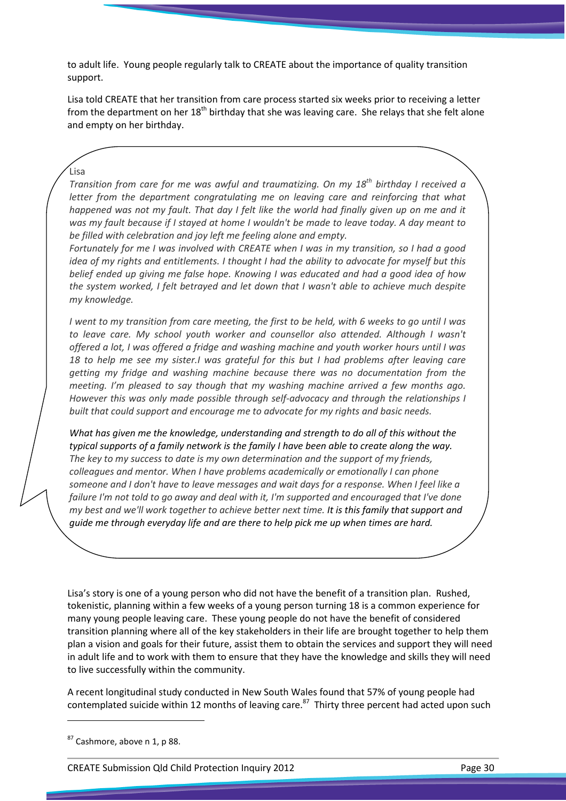to adult life. Young people regularly talk to CREATE about the importance of quality transition support.

Lisa told CREATE that her transition from care process started six weeks prior to receiving a letter from the department on her  $18<sup>th</sup>$  birthday that she was leaving care. She relays that she felt alone and empty on her birthday.

#### Lisa

Transition from care for me was awful and traumatizing. On my  $18^{th}$  birthday I received a letter from the department congratulating me on leaving care and reinforcing that what happened was not my fault. That day I felt like the world had finally given up on me and it was my fault because if I stayed at home I wouldn't be made to leave today. A day meant to be filled with celebration and joy left me feeling alone and empty.

Fortunately for me I was involved with CREATE when I was in my transition, so I had a good idea of my rights and entitlements. I thought I had the ability to advocate for myself but this belief ended up giving me false hope. Knowing I was educated and had a good idea of how the system worked, I felt betrayed and let down that I wasn't able to achieve much despite my knowledge.

I went to my transition from care meeting, the first to be held, with 6 weeks to go until I was to leave care. My school youth worker and counsellor also attended. Although I wasn't offered a lot, I was offered a fridge and washing machine and youth worker hours until I was 18 to help me see my sister.I was grateful for this but I had problems after leaving care getting my fridge and washing machine because there was no documentation from the meeting. I'm pleased to say though that my washing machine arrived a few months ago. However this was only made possible through self-advocacy and through the relationships I built that could support and encourage me to advocate for my rights and basic needs.

What has given me the knowledge, understanding and strength to do all of this without the typical supports of a family network is the family I have been able to create along the way. The key to my success to date is my own determination and the support of my friends, colleagues and mentor. When I have problems academically or emotionally I can phone someone and I don't have to leave messages and wait days for a response. When I feel like a failure I'm not told to go away and deal with it, I'm supported and encouraged that I've done my best and we'll work together to achieve better next time. It is this family that support and guide me through everyday life and are there to help pick me up when times are hard.

Lisa's story is one of a young person who did not have the benefit of a transition plan. Rushed, tokenistic, planning within a few weeks of a young person turning 18 is a common experience for many young people leaving care. These young people do not have the benefit of considered transition planning where all of the key stakeholders in their life are brought together to help them plan a vision and goals for their future, assist them to obtain the services and support they will need in adult life and to work with them to ensure that they have the knowledge and skills they will need to live successfully within the community.

A recent longitudinal study conducted in New South Wales found that 57% of young people had contemplated suicide within 12 months of leaving care. $87$  Thirty three percent had acted upon such

l

CREATE Submission Qld Child Protection Inquiry 2012 Page 30

 $87$  Cashmore, above n 1, p 88.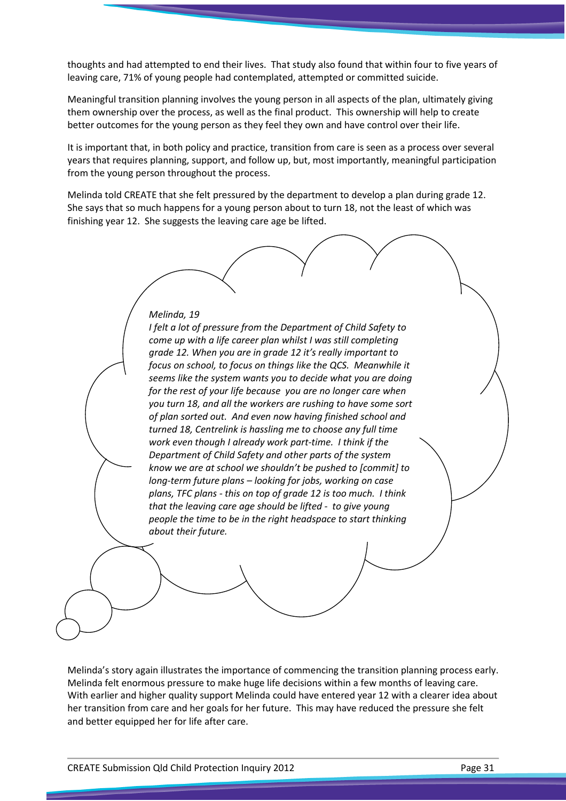thoughts and had attempted to end their lives. That study also found that within four to five years of leaving care, 71% of young people had contemplated, attempted or committed suicide.

Meaningful transition planning involves the young person in all aspects of the plan, ultimately giving them ownership over the process, as well as the final product. This ownership will help to create better outcomes for the young person as they feel they own and have control over their life.

It is important that, in both policy and practice, transition from care is seen as a process over several years that requires planning, support, and follow up, but, most importantly, meaningful participation from the young person throughout the process.

Melinda told CREATE that she felt pressured by the department to develop a plan during grade 12. She says that so much happens for a young person about to turn 18, not the least of which was finishing year 12. She suggests the leaving care age be lifted.

Melinda, 19 I felt a lot of pressure from the Department of Child Safety to come up with a life career plan whilst I was still completing grade 12. When you are in grade 12 it's really important to focus on school, to focus on things like the QCS. Meanwhile it seems like the system wants you to decide what you are doing for the rest of your life because you are no longer care when you turn 18, and all the workers are rushing to have some sort of plan sorted out. And even now having finished school and turned 18, Centrelink is hassling me to choose any full time work even though I already work part-time. I think if the Department of Child Safety and other parts of the system know we are at school we shouldn't be pushed to [commit] to long-term future plans – looking for jobs, working on case plans, TFC plans - this on top of grade 12 is too much. I think that the leaving care age should be lifted - to give young people the time to be in the right headspace to start thinking about their future.

Melinda's story again illustrates the importance of commencing the transition planning process early. Melinda felt enormous pressure to make huge life decisions within a few months of leaving care. With earlier and higher quality support Melinda could have entered year 12 with a clearer idea about her transition from care and her goals for her future. This may have reduced the pressure she felt and better equipped her for life after care.